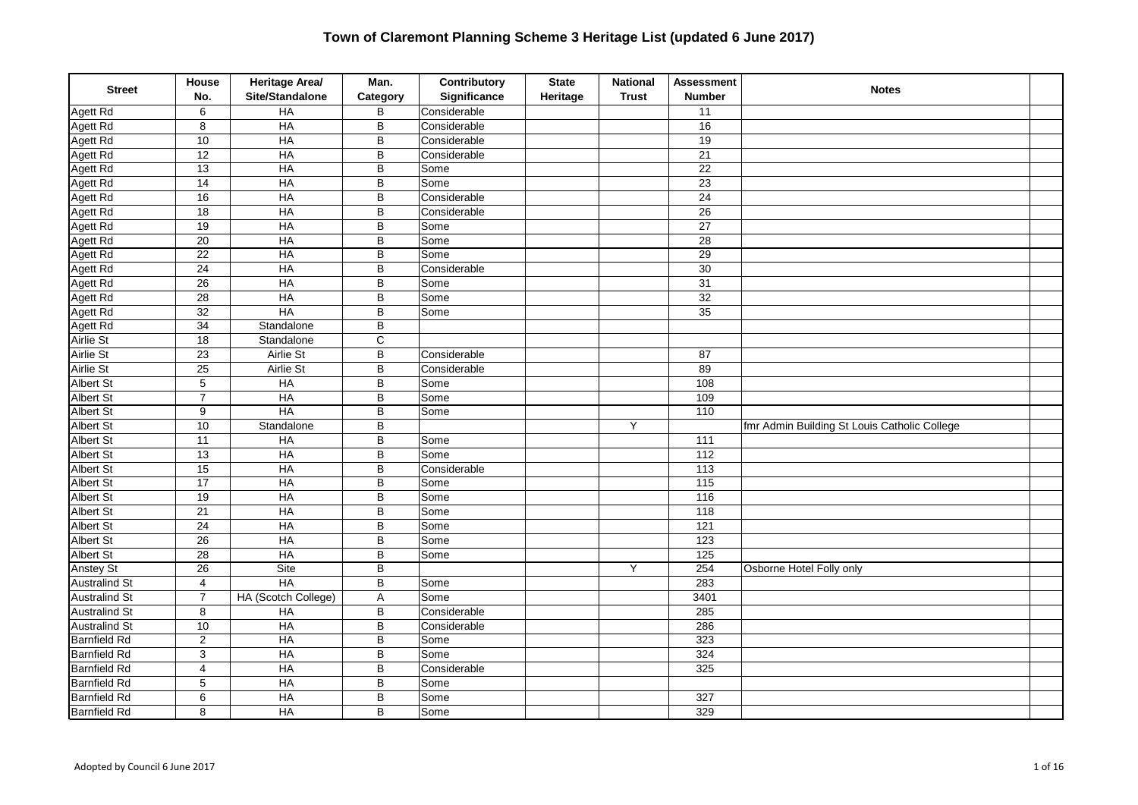| <b>Street</b>        | House<br>No.            | Heritage Area/<br>Site/Standalone | Man.<br>Category        | Contributory<br>Significance | <b>State</b><br>Heritage | <b>National</b><br><b>Trust</b> | <b>Assessment</b><br><b>Number</b> | <b>Notes</b>                                 |  |
|----------------------|-------------------------|-----------------------------------|-------------------------|------------------------------|--------------------------|---------------------------------|------------------------------------|----------------------------------------------|--|
| Agett Rd             | 6                       | $H$ A                             | B                       | Considerable                 |                          |                                 | 11                                 |                                              |  |
| Agett Rd             | 8                       | $H$ A                             | $\sf B$                 | Considerable                 |                          |                                 | 16                                 |                                              |  |
| Agett Rd             | 10                      | HA                                | $\overline{B}$          | Considerable                 |                          |                                 | 19                                 |                                              |  |
| Agett Rd             | $\overline{12}$         | HA                                | $\overline{B}$          | Considerable                 |                          |                                 | 21                                 |                                              |  |
| Agett Rd             | $\overline{13}$         | HA                                | $\sf B$                 | Some                         |                          |                                 | $\overline{22}$                    |                                              |  |
| Agett Rd             | $\overline{14}$         | HA                                | B                       | Some                         |                          |                                 | $\overline{23}$                    |                                              |  |
| Agett Rd             | 16                      | HA                                | $\sf B$                 | Considerable                 |                          |                                 | $\overline{24}$                    |                                              |  |
| Agett Rd             | $\overline{18}$         | $H$ A                             | $\sf B$                 | Considerable                 |                          |                                 | $\overline{26}$                    |                                              |  |
| Agett Rd             | 19                      | HA                                | B                       | Some                         |                          |                                 | $\overline{27}$                    |                                              |  |
| Agett Rd             | $\overline{20}$         | HA                                | B                       | Some                         |                          |                                 | 28                                 |                                              |  |
| Agett Rd             | $\overline{22}$         | <b>HA</b>                         | $\overline{B}$          | Some                         |                          |                                 | $\overline{29}$                    |                                              |  |
| Agett Rd             | $\overline{24}$         | $H$ A                             | B                       | Considerable                 |                          |                                 | $\overline{30}$                    |                                              |  |
| Agett Rd             | $\overline{26}$         | H A                               | $\sf B$                 | Some                         |                          |                                 | 31                                 |                                              |  |
| Agett Rd             | 28                      | HA                                | B                       | Some                         |                          |                                 | 32                                 |                                              |  |
| Agett Rd             | $\overline{32}$         | HA                                | B                       | Some                         |                          |                                 | $\overline{35}$                    |                                              |  |
| Agett Rd             | 34                      | Standalone                        | B                       |                              |                          |                                 |                                    |                                              |  |
| Airlie St            | $\overline{18}$         | Standalone                        | $\overline{\mathsf{c}}$ |                              |                          |                                 |                                    |                                              |  |
| Airlie St            | $\overline{23}$         | Airlie St                         | $\sf B$                 | Considerable                 |                          |                                 | 87                                 |                                              |  |
| Airlie St            | 25                      | Airlie St                         | B                       | Considerable                 |                          |                                 | 89                                 |                                              |  |
| <b>Albert St</b>     | $\sqrt{5}$              | HA                                | $\sf B$                 | Some                         |                          |                                 | 108                                |                                              |  |
| <b>Albert St</b>     | $\overline{7}$          | HA                                | B                       | Some                         |                          |                                 | 109                                |                                              |  |
| <b>Albert St</b>     | 9                       | HA                                | B                       | Some                         |                          |                                 | 110                                |                                              |  |
| <b>Albert St</b>     | $\overline{10}$         | Standalone                        | B                       |                              |                          | Y                               |                                    | fmr Admin Building St Louis Catholic College |  |
| Albert St            | $\overline{11}$         | HA                                | $\sf B$                 | Some                         |                          |                                 | 111                                |                                              |  |
| <b>Albert St</b>     | 13                      | $H$ A                             | B                       | Some                         |                          |                                 | 112                                |                                              |  |
| <b>Albert St</b>     | 15                      | HA                                | B                       | Considerable                 |                          |                                 | $\frac{113}{113}$                  |                                              |  |
| <b>Albert St</b>     | $\overline{17}$         | HA                                | $\sf B$                 | Some                         |                          |                                 | $\overline{115}$                   |                                              |  |
| <b>Albert St</b>     | $\overline{19}$         | HA                                | $\sf B$                 | Some                         |                          |                                 | 116                                |                                              |  |
| <b>Albert St</b>     | $\overline{21}$         | <b>HA</b>                         | $\overline{B}$          | Some                         |                          |                                 | 118                                |                                              |  |
| <b>Albert St</b>     | $\overline{24}$         | $H$ A                             | $\sf B$                 | Some                         |                          |                                 | $\overline{121}$                   |                                              |  |
| Albert St            | 26                      | HA                                | B                       | Some                         |                          |                                 | 123                                |                                              |  |
| Albert St            | $\overline{28}$         | <b>HA</b>                         | $\overline{B}$          | Some                         |                          |                                 | 125                                |                                              |  |
| <b>Anstey St</b>     | $\overline{26}$         | Site                              | $\sf B$                 |                              |                          | Y                               | 254                                | Osborne Hotel Folly only                     |  |
| <b>Australind St</b> | $\overline{4}$          | <b>HA</b>                         | $\overline{B}$          | Some                         |                          |                                 | 283                                |                                              |  |
| <b>Australind St</b> | $\overline{7}$          | HA (Scotch College)               | Α                       | Some                         |                          |                                 | 3401                               |                                              |  |
| <b>Australind St</b> | 8                       | HA                                | B                       | Considerable                 |                          |                                 | 285                                |                                              |  |
| <b>Australind St</b> | 10                      | HA                                | B                       | Considerable                 |                          |                                 | 286                                |                                              |  |
| <b>Barnfield Rd</b>  | $\overline{2}$          | HA                                | B                       | Some                         |                          |                                 | 323                                |                                              |  |
| <b>Barnfield Rd</b>  | 3                       | HA                                | B                       | Some                         |                          |                                 | 324                                |                                              |  |
| <b>Barnfield Rd</b>  | $\overline{\mathbf{4}}$ | HA                                | B                       | Considerable                 |                          |                                 | 325                                |                                              |  |
| <b>Barnfield Rd</b>  | 5                       | $H$ A                             | $\sf B$                 | Some                         |                          |                                 |                                    |                                              |  |
| <b>Barnfield Rd</b>  | 6                       | $H$ A                             | B                       | Some                         |                          |                                 | 327                                |                                              |  |
| <b>Barnfield Rd</b>  | 8                       | $H$ A                             | B                       | Some                         |                          |                                 | 329                                |                                              |  |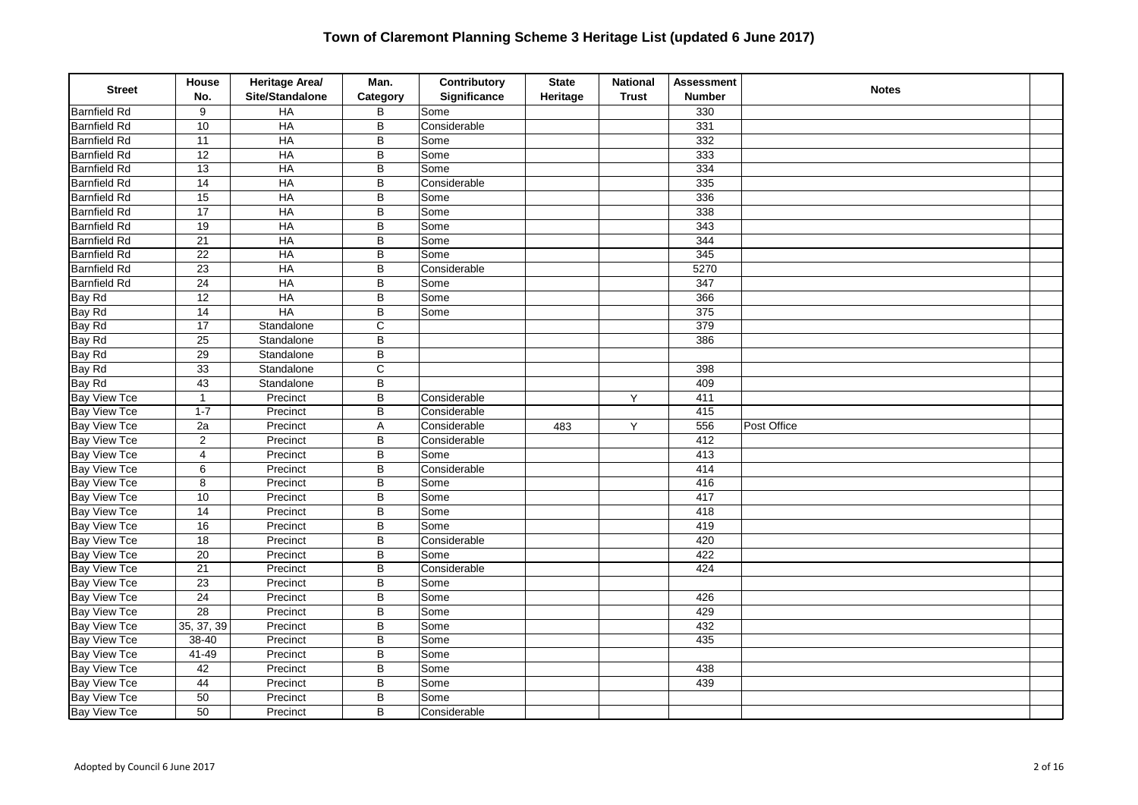| <b>Street</b>       | <b>House</b><br>No.     | Heritage Area/<br>Site/Standalone | Man.<br>Category | Contributory<br><b>Significance</b> | <b>State</b><br>Heritage | <b>National</b><br><b>Trust</b> | <b>Assessment</b><br><b>Number</b> | <b>Notes</b> |  |
|---------------------|-------------------------|-----------------------------------|------------------|-------------------------------------|--------------------------|---------------------------------|------------------------------------|--------------|--|
| <b>Barnfield Rd</b> | 9                       | HA                                | B                | Some                                |                          |                                 | 330                                |              |  |
| <b>Barnfield Rd</b> | 10                      | HA                                | B                | Considerable                        |                          |                                 | 331                                |              |  |
| <b>Barnfield Rd</b> | 11                      | HA                                | $\overline{B}$   | Some                                |                          |                                 | 332                                |              |  |
| <b>Barnfield Rd</b> | 12                      | HA                                | $\overline{B}$   | Some                                |                          |                                 | 333                                |              |  |
| <b>Barnfield Rd</b> | $\overline{13}$         | HA                                | B                | Some                                |                          |                                 | 334                                |              |  |
| <b>Barnfield Rd</b> | $\overline{14}$         | HA                                | B                | Considerable                        |                          |                                 | 335                                |              |  |
| <b>Barnfield Rd</b> | 15                      | HA                                | B                | Some                                |                          |                                 | 336                                |              |  |
| <b>Barnfield Rd</b> | $\overline{17}$         | HA                                | B                | Some                                |                          |                                 | 338                                |              |  |
| <b>Barnfield Rd</b> | 19                      | HA                                | B                | Some                                |                          |                                 | 343                                |              |  |
| <b>Barnfield Rd</b> | $\overline{21}$         | HA                                | B                | Some                                |                          |                                 | 344                                |              |  |
| <b>Barnfield Rd</b> | $\overline{22}$         | HA                                | B                | Some                                |                          |                                 | 345                                |              |  |
| <b>Barnfield Rd</b> | $\overline{23}$         | HA                                | B                | Considerable                        |                          |                                 | 5270                               |              |  |
| <b>Barnfield Rd</b> | $\overline{24}$         | HA                                | B                | Some                                |                          |                                 | 347                                |              |  |
| Bay Rd              | $\overline{12}$         | <b>HA</b>                         | $\overline{B}$   | Some                                |                          |                                 | 366                                |              |  |
| Bay Rd              | $\overline{14}$         | HA                                | B                | Some                                |                          |                                 | 375                                |              |  |
| Bay Rd              | 17                      | Standalone                        | C                |                                     |                          |                                 | 379                                |              |  |
| Bay Rd              | $\overline{25}$         | Standalone                        | $\overline{B}$   |                                     |                          |                                 | 386                                |              |  |
| Bay Rd              | 29                      | Standalone                        | B                |                                     |                          |                                 |                                    |              |  |
| Bay Rd              | 33                      | Standalone                        | $\overline{c}$   |                                     |                          |                                 | 398                                |              |  |
| Bay Rd              | 43                      | Standalone                        | B                |                                     |                          |                                 | 409                                |              |  |
| <b>Bay View Tce</b> | $\mathbf{1}$            | Precinct                          | $\overline{B}$   | Considerable                        |                          | Y                               | 411                                |              |  |
| <b>Bay View Tce</b> | $1 - 7$                 | Precinct                          | $\overline{B}$   | Considerable                        |                          |                                 | 415                                |              |  |
| <b>Bay View Tce</b> | $\overline{2a}$         | Precinct                          | A                | Considerable                        | 483                      | Y                               | 556                                | Post Office  |  |
| <b>Bay View Tce</b> | $\sqrt{2}$              | Precinct                          | $\sf B$          | Considerable                        |                          |                                 | 412                                |              |  |
| <b>Bay View Tce</b> | $\overline{\mathbf{4}}$ | Precinct                          | B                | Some                                |                          |                                 | 413                                |              |  |
| <b>Bay View Tce</b> | 6                       | Precinct                          | $\overline{B}$   | Considerable                        |                          |                                 | 414                                |              |  |
| <b>Bay View Tce</b> | 8                       | Precinct                          | B                | Some                                |                          |                                 | 416                                |              |  |
| <b>Bay View Tce</b> | 10                      | Precinct                          | $\sf B$          | Some                                |                          |                                 | 417                                |              |  |
| Bay View Tce        | $\overline{14}$         | Precinct                          | B                | Some                                |                          |                                 | 418                                |              |  |
| <b>Bay View Tce</b> | 16                      | Precinct                          | B                | Some                                |                          |                                 | 419                                |              |  |
| <b>Bay View Tce</b> | 18                      | Precinct                          | B                | Considerable                        |                          |                                 | 420                                |              |  |
| <b>Bay View Tce</b> | $\overline{20}$         | Precinct                          | B                | Some                                |                          |                                 | 422                                |              |  |
| <b>Bay View Tce</b> | 21                      | Precinct                          | B                | Considerable                        |                          |                                 | 424                                |              |  |
| <b>Bay View Tce</b> | $\overline{23}$         | Precinct                          | B                | Some                                |                          |                                 |                                    |              |  |
| <b>Bay View Tce</b> | $\overline{24}$         | Precinct                          | B                | Some                                |                          |                                 | 426                                |              |  |
| <b>Bay View Tce</b> | $\overline{28}$         | Precinct                          | B                | Some                                |                          |                                 | 429                                |              |  |
| <b>Bay View Tce</b> | 35, 37, 39              | Precinct                          | B                | Some                                |                          |                                 | 432                                |              |  |
| <b>Bay View Tce</b> | 38-40                   | Precinct                          | B                | Some                                |                          |                                 | 435                                |              |  |
| <b>Bay View Tce</b> | 41-49                   | Precinct                          | B                | Some                                |                          |                                 |                                    |              |  |
| <b>Bay View Tce</b> | 42                      | Precinct                          | $\overline{B}$   | Some                                |                          |                                 | 438                                |              |  |
| <b>Bay View Tce</b> | 44                      | Precinct                          | B                | Some                                |                          |                                 | 439                                |              |  |
| <b>Bay View Tce</b> | 50                      | Precinct                          | B                | Some                                |                          |                                 |                                    |              |  |
| <b>Bay View Tce</b> | 50                      | Precinct                          | B                | Considerable                        |                          |                                 |                                    |              |  |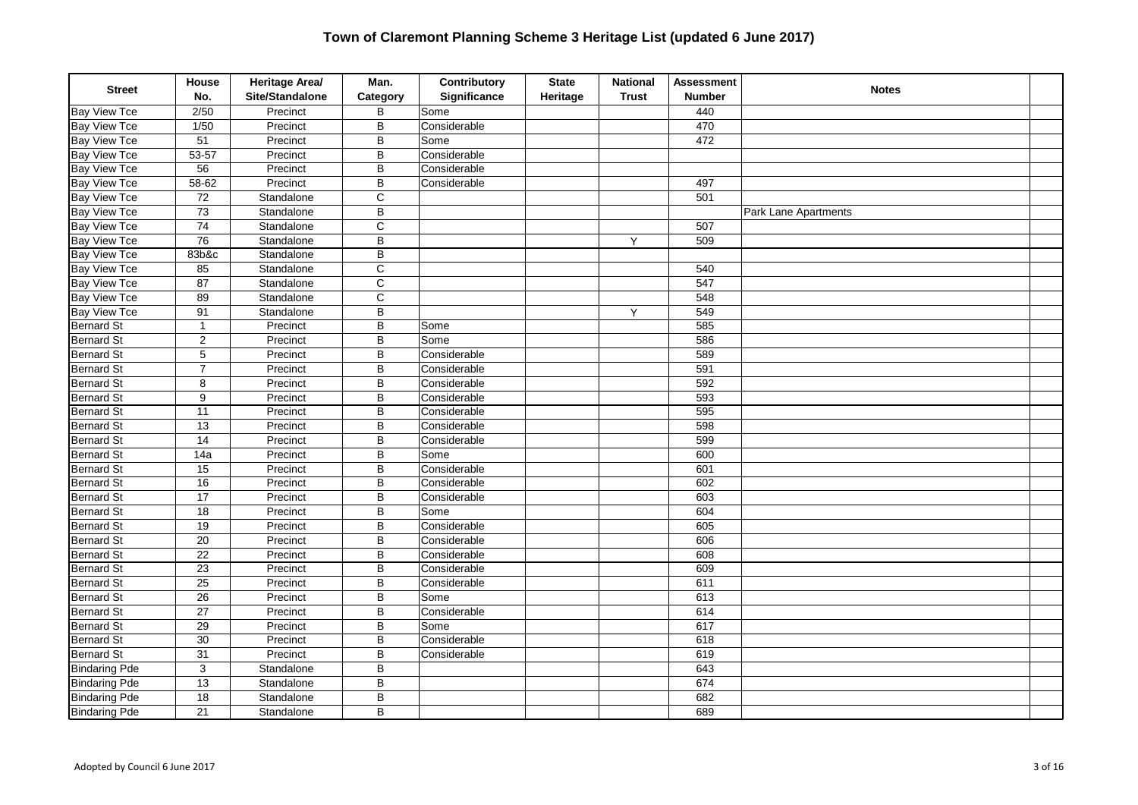| <b>Street</b>        | House<br>No.    | Heritage Area/<br>Site/Standalone | Man.<br>Category        | Contributory<br>Significance | <b>State</b><br>Heritage | <b>National</b><br><b>Trust</b> | <b>Assessment</b><br><b>Number</b> | <b>Notes</b>                |  |
|----------------------|-----------------|-----------------------------------|-------------------------|------------------------------|--------------------------|---------------------------------|------------------------------------|-----------------------------|--|
| <b>Bay View Tce</b>  | 2/50            | Precinct                          | B                       | Some                         |                          |                                 | 440                                |                             |  |
| <b>Bay View Tce</b>  | 1/50            | Precinct                          | B                       | Considerable                 |                          |                                 | 470                                |                             |  |
| <b>Bay View Tce</b>  | 51              | Precinct                          | B                       | Some                         |                          |                                 | 472                                |                             |  |
| <b>Bay View Tce</b>  | $53 - 57$       | Precinct                          | B                       | Considerable                 |                          |                                 |                                    |                             |  |
| <b>Bay View Tce</b>  | 56              | Precinct                          | B                       | Considerable                 |                          |                                 |                                    |                             |  |
| <b>Bay View Tce</b>  | $58 - 62$       | Precinct                          | B                       | Considerable                 |                          |                                 | 497                                |                             |  |
| <b>Bay View Tce</b>  | $72\,$          | Standalone                        | C                       |                              |                          |                                 | 501                                |                             |  |
| <b>Bay View Tce</b>  | 73              | Standalone                        | B                       |                              |                          |                                 |                                    | <b>Park Lane Apartments</b> |  |
| <b>Bay View Tce</b>  | 74              | Standalone                        | $\overline{C}$          |                              |                          |                                 | 507                                |                             |  |
| <b>Bay View Tce</b>  | $\overline{76}$ | Standalone                        | $\overline{\mathsf{B}}$ |                              |                          | Υ                               | 509                                |                             |  |
| <b>Bay View Tce</b>  | 83b&c           | Standalone                        | B                       |                              |                          |                                 |                                    |                             |  |
| <b>Bay View Tce</b>  | 85              | Standalone                        | C                       |                              |                          |                                 | 540                                |                             |  |
| <b>Bay View Tce</b>  | 87              | Standalone                        | $\mathsf{C}$            |                              |                          |                                 | 547                                |                             |  |
| <b>Bay View Tce</b>  | 89              | Standalone                        | $\overline{c}$          |                              |                          |                                 | 548                                |                             |  |
| <b>Bay View Tce</b>  | 91              | Standalone                        | B                       |                              |                          | Y                               | 549                                |                             |  |
| <b>Bernard St</b>    | $\mathbf{1}$    | Precinct                          | B                       | Some                         |                          |                                 | 585                                |                             |  |
| <b>Bernard St</b>    | $\overline{2}$  | Precinct                          | B                       | Some                         |                          |                                 | 586                                |                             |  |
| <b>Bernard St</b>    | $\sqrt{5}$      | Precinct                          | B                       | Considerable                 |                          |                                 | 589                                |                             |  |
| <b>Bernard St</b>    | $\overline{7}$  | Precinct                          | B                       | Considerable                 |                          |                                 | 591                                |                             |  |
| <b>Bernard St</b>    | $\bf 8$         | Precinct                          | B                       | Considerable                 |                          |                                 | 592                                |                             |  |
| <b>Bernard St</b>    | 9               | Precinct                          | B                       | Considerable                 |                          |                                 | 593                                |                             |  |
| <b>Bernard St</b>    | 11              | Precinct                          | B                       | Considerable                 |                          |                                 | 595                                |                             |  |
| <b>Bernard St</b>    | 13              | Precinct                          | B                       | Considerable                 |                          |                                 | 598                                |                             |  |
| <b>Bernard St</b>    | $\overline{14}$ | Precinct                          | B                       | Considerable                 |                          |                                 | 599                                |                             |  |
| <b>Bernard St</b>    | 14a             | Precinct                          | B                       | Some                         |                          |                                 | 600                                |                             |  |
| <b>Bernard St</b>    | 15              | Precinct                          | B                       | Considerable                 |                          |                                 | 601                                |                             |  |
| <b>Bernard St</b>    | 16              | Precinct                          | B                       | Considerable                 |                          |                                 | 602                                |                             |  |
| <b>Bernard St</b>    | $\overline{17}$ | Precinct                          | B                       | Considerable                 |                          |                                 | 603                                |                             |  |
| <b>Bernard St</b>    | $\overline{18}$ | Precinct                          | $\overline{B}$          | Some                         |                          |                                 | 604                                |                             |  |
| <b>Bernard St</b>    | 19              | Precinct                          | B                       | Considerable                 |                          |                                 | 605                                |                             |  |
| <b>Bernard St</b>    | 20              | Precinct                          | B                       | Considerable                 |                          |                                 | 606                                |                             |  |
| <b>Bernard St</b>    | 22              | Precinct                          | B                       | Considerable                 |                          |                                 | 608                                |                             |  |
| <b>Bernard St</b>    | 23              | Precinct                          | B                       | Considerable                 |                          |                                 | 609                                |                             |  |
| <b>Bernard St</b>    | $\overline{25}$ | Precinct                          | $\overline{\mathsf{B}}$ | Considerable                 |                          |                                 | 611                                |                             |  |
| <b>Bernard St</b>    | $\overline{26}$ | Precinct                          | B                       | Some                         |                          |                                 | 613                                |                             |  |
| <b>Bernard St</b>    | 27              | Precinct                          | B                       | Considerable                 |                          |                                 | 614                                |                             |  |
| <b>Bernard St</b>    | 29              | Precinct                          | B                       | Some                         |                          |                                 | 617                                |                             |  |
| <b>Bernard St</b>    | 30              | Precinct                          | B                       | Considerable                 |                          |                                 | 618                                |                             |  |
| <b>Bernard St</b>    | 31              | Precinct                          | B                       | Considerable                 |                          |                                 | 619                                |                             |  |
| <b>Bindaring Pde</b> | $\overline{3}$  | Standalone                        | B                       |                              |                          |                                 | 643                                |                             |  |
| <b>Bindaring Pde</b> | 13              | Standalone                        | B                       |                              |                          |                                 | 674                                |                             |  |
| <b>Bindaring Pde</b> | 18              | Standalone                        | B                       |                              |                          |                                 | 682                                |                             |  |
| <b>Bindaring Pde</b> | 21              | Standalone                        | B                       |                              |                          |                                 | 689                                |                             |  |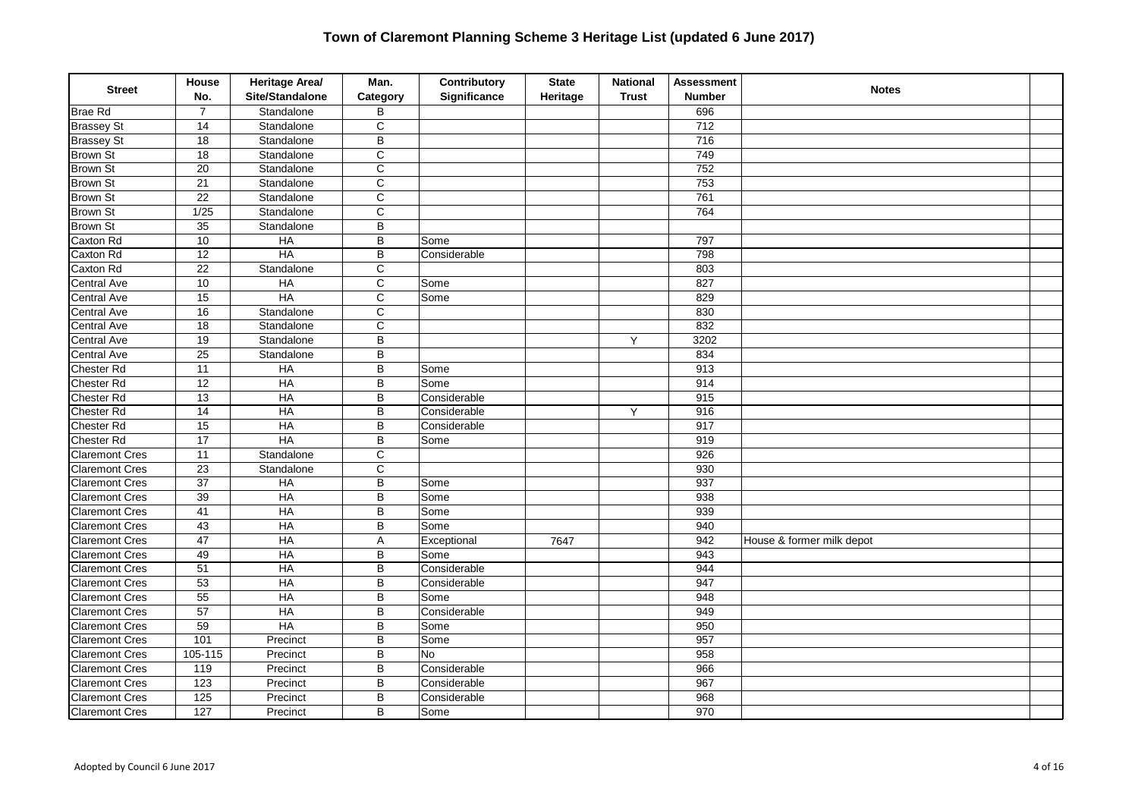| <b>Street</b>         | House<br>No.     | Heritage Area/<br>Site/Standalone | Man.<br>Category        | Contributory<br>Significance | <b>State</b><br>Heritage | <b>National</b><br><b>Trust</b> | <b>Assessment</b><br><b>Number</b> | <b>Notes</b>              |  |
|-----------------------|------------------|-----------------------------------|-------------------------|------------------------------|--------------------------|---------------------------------|------------------------------------|---------------------------|--|
| <b>Brae Rd</b>        | $\overline{7}$   | Standalone                        | B                       |                              |                          |                                 | 696                                |                           |  |
| <b>Brassey St</b>     | 14               | Standalone                        | $\mathsf C$             |                              |                          |                                 | 712                                |                           |  |
| <b>Brassey St</b>     | $\overline{18}$  | Standalone                        | $\overline{B}$          |                              |                          |                                 | 716                                |                           |  |
| <b>Brown St</b>       | 18               | Standalone                        | $\overline{\mathsf{C}}$ |                              |                          |                                 | 749                                |                           |  |
| <b>Brown St</b>       | 20               | Standalone                        | $\overline{c}$          |                              |                          |                                 | 752                                |                           |  |
| <b>Brown St</b>       | 21               | Standalone                        | $\overline{\text{c}}$   |                              |                          |                                 | 753                                |                           |  |
| <b>Brown St</b>       | $\overline{22}$  | Standalone                        | $\overline{C}$          |                              |                          |                                 | 761                                |                           |  |
| <b>Brown St</b>       | $\frac{1}{25}$   | Standalone                        | $\mathsf{C}$            |                              |                          |                                 | 764                                |                           |  |
| <b>Brown St</b>       | 35               | Standalone                        | B                       |                              |                          |                                 |                                    |                           |  |
| Caxton Rd             | 10               | <b>HA</b>                         | B                       | Some                         |                          |                                 | 797                                |                           |  |
| Caxton Rd             | $\overline{12}$  | <b>HA</b>                         | $\overline{\mathsf{B}}$ | Considerable                 |                          |                                 | 798                                |                           |  |
| Caxton Rd             | $\overline{22}$  | Standalone                        | $\mathsf{C}$            |                              |                          |                                 | 803                                |                           |  |
| <b>Central Ave</b>    | $10$             | HA                                | $\mathbf C$             | Some                         |                          |                                 | 827                                |                           |  |
| <b>Central Ave</b>    | 15               | $H$ A                             | C                       | Some                         |                          |                                 | 829                                |                           |  |
| <b>Central Ave</b>    | 16               | Standalone                        | $\overline{\text{c}}$   |                              |                          |                                 | 830                                |                           |  |
| <b>Central Ave</b>    | $\overline{18}$  | Standalone                        | $\mathsf{C}$            |                              |                          |                                 | 832                                |                           |  |
| Central Ave           | $\overline{19}$  | Standalone                        | B                       |                              |                          | Y                               | 3202                               |                           |  |
| Central Ave           | $\overline{25}$  | Standalone                        | B                       |                              |                          |                                 | 834                                |                           |  |
| <b>Chester Rd</b>     | $\overline{11}$  | $H$ A                             | $\overline{B}$          | Some                         |                          |                                 | $\overline{913}$                   |                           |  |
| <b>Chester Rd</b>     | 12               | HA                                | B                       | Some                         |                          |                                 | 914                                |                           |  |
| <b>Chester Rd</b>     | $\overline{13}$  | HA                                | $\overline{B}$          | Considerable                 |                          |                                 | 915                                |                           |  |
| Chester Rd            | $\overline{14}$  | HA                                | B                       | Considerable                 |                          | Y                               | 916                                |                           |  |
| <b>Chester Rd</b>     | $\overline{15}$  | $H$ A                             | B                       | Considerable                 |                          |                                 | 917                                |                           |  |
| <b>Chester Rd</b>     | $\overline{17}$  | HA                                | $\overline{B}$          | Some                         |                          |                                 | 919                                |                           |  |
| <b>Claremont Cres</b> | $\overline{11}$  | Standalone                        | $\mathsf C$             |                              |                          |                                 | 926                                |                           |  |
| <b>Claremont Cres</b> | $\overline{23}$  | Standalone                        | $\overline{c}$          |                              |                          |                                 | 930                                |                           |  |
| <b>Claremont Cres</b> | $\overline{37}$  | <b>HA</b>                         | B                       | Some                         |                          |                                 | 937                                |                           |  |
| <b>Claremont Cres</b> | $\overline{39}$  | HA                                | B                       | Some                         |                          |                                 | 938                                |                           |  |
| <b>Claremont Cres</b> | 41               | HA                                | B                       | Some                         |                          |                                 | 939                                |                           |  |
| <b>Claremont Cres</b> | 43               | $H$ A                             | B                       | Some                         |                          |                                 | 940                                |                           |  |
| <b>Claremont Cres</b> | $\overline{47}$  | $H$ A                             | Α                       | Exceptional                  | 7647                     |                                 | 942                                | House & former milk depot |  |
| <b>Claremont Cres</b> | 49               | $H$ A                             | B                       | Some                         |                          |                                 | 943                                |                           |  |
| <b>Claremont Cres</b> | $\overline{51}$  | HA                                | B                       | Considerable                 |                          |                                 | 944                                |                           |  |
| <b>Claremont Cres</b> | $\overline{53}$  | <b>HA</b>                         | B                       | Considerable                 |                          |                                 | 947                                |                           |  |
| <b>Claremont Cres</b> | $\overline{55}$  | <b>HA</b>                         | B                       | Some                         |                          |                                 | 948                                |                           |  |
| <b>Claremont Cres</b> | $\overline{57}$  | $H$ A                             | B                       | Considerable                 |                          |                                 | 949                                |                           |  |
| <b>Claremont Cres</b> | 59               | <b>HA</b>                         | B                       | Some                         |                          |                                 | 950                                |                           |  |
| <b>Claremont Cres</b> | 101              | Precinct                          | B                       | Some                         |                          |                                 | 957                                |                           |  |
| <b>Claremont Cres</b> | 105-115          | Precinct                          | B                       | <b>No</b>                    |                          |                                 | 958                                |                           |  |
| <b>Claremont Cres</b> | 119              | Precinct                          | B                       | Considerable                 |                          |                                 | 966                                |                           |  |
| <b>Claremont Cres</b> | 123              | Precinct                          | B                       | Considerable                 |                          |                                 | 967                                |                           |  |
| <b>Claremont Cres</b> | $\frac{125}{25}$ | Precinct                          | B                       | Considerable                 |                          |                                 | 968                                |                           |  |
| <b>Claremont Cres</b> | 127              | Precinct                          | B                       | Some                         |                          |                                 | 970                                |                           |  |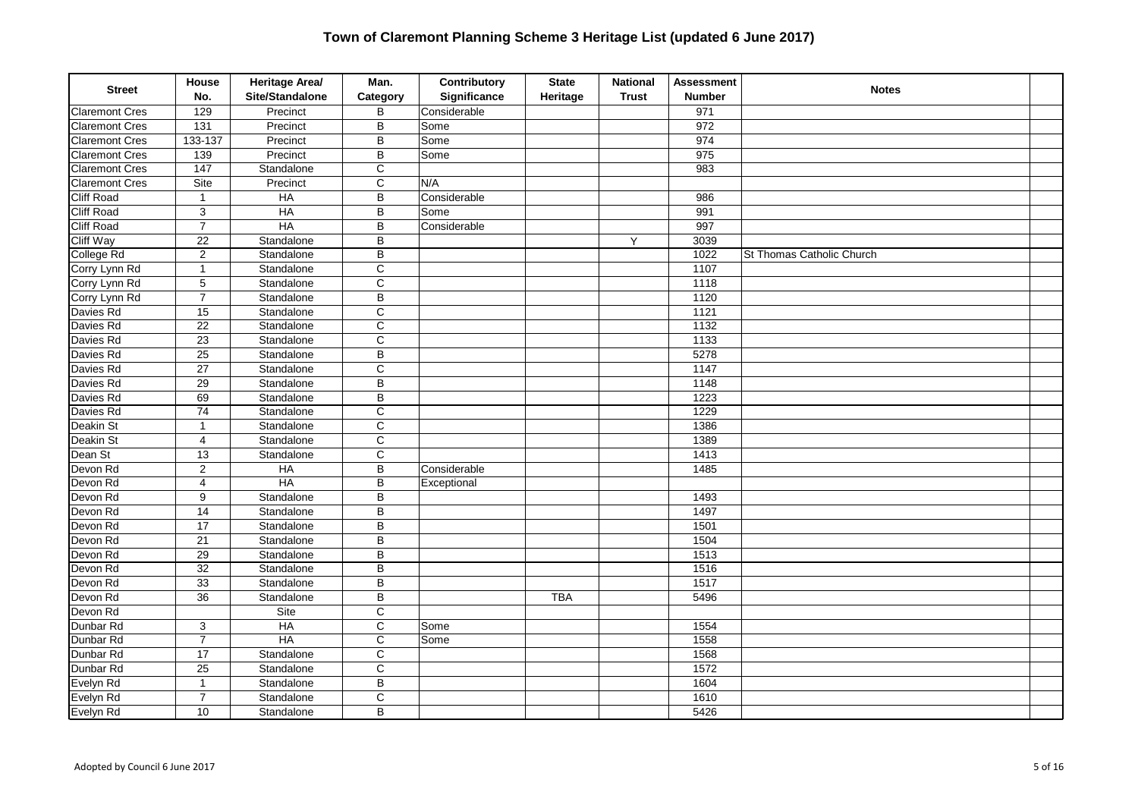| <b>Street</b>         | House<br>No.      | Heritage Area/<br>Site/Standalone | Man.<br>Category        | Contributory<br>Significance | <b>State</b><br>Heritage | <b>National</b><br><b>Trust</b> | <b>Assessment</b><br><b>Number</b> | <b>Notes</b>              |  |
|-----------------------|-------------------|-----------------------------------|-------------------------|------------------------------|--------------------------|---------------------------------|------------------------------------|---------------------------|--|
| <b>Claremont Cres</b> | 129               | Precinct                          | B                       | Considerable                 |                          |                                 | 971                                |                           |  |
| <b>Claremont Cres</b> | $\overline{131}$  | Precinct                          | B                       | Some                         |                          |                                 | 972                                |                           |  |
| <b>Claremont Cres</b> | 133-137           | Precinct                          | B                       | Some                         |                          |                                 | 974                                |                           |  |
| <b>Claremont Cres</b> | 139               | Precinct                          | B                       | Some                         |                          |                                 | 975                                |                           |  |
| <b>Claremont Cres</b> | $\frac{147}{147}$ | Standalone                        | C                       |                              |                          |                                 | 983                                |                           |  |
| <b>Claremont Cres</b> | Site              | Precinct                          | $\overline{\text{c}}$   | N/A                          |                          |                                 |                                    |                           |  |
| <b>Cliff Road</b>     | $\mathbf{1}$      | $H$ A                             | B                       | Considerable                 |                          |                                 | 986                                |                           |  |
| Cliff Road            | $\mathsf 3$       | $H$ A                             | B                       | Some                         |                          |                                 | 991                                |                           |  |
| <b>Cliff Road</b>     | $\overline{7}$    | HA                                | B                       | Considerable                 |                          |                                 | 997                                |                           |  |
| <b>Cliff Way</b>      | $\overline{22}$   | Standalone                        | B                       |                              |                          | Y                               | 3039                               |                           |  |
| College Rd            | $\overline{2}$    | Standalone                        | B                       |                              |                          |                                 | 1022                               | St Thomas Catholic Church |  |
| Corry Lynn Rd         | $\overline{1}$    | Standalone                        | $\mathsf C$             |                              |                          |                                 | 1107                               |                           |  |
| Corry Lynn Rd         | 5                 | Standalone                        | $\mathsf C$             |                              |                          |                                 | 1118                               |                           |  |
| Corry Lynn Rd         | $\overline{7}$    | Standalone                        | B                       |                              |                          |                                 | 1120                               |                           |  |
| Davies Rd             | 15                | Standalone                        | $\mathsf{C}$            |                              |                          |                                 | 1121                               |                           |  |
| Davies Rd             | $\overline{22}$   | Standalone                        | C                       |                              |                          |                                 | 1132                               |                           |  |
| Davies Rd             | $\overline{23}$   | Standalone                        | $\overline{\text{c}}$   |                              |                          |                                 | 1133                               |                           |  |
| Davies Rd             | $\overline{25}$   | Standalone                        | B                       |                              |                          |                                 | 5278                               |                           |  |
| Davies Rd             | $\overline{27}$   | Standalone                        | C                       |                              |                          |                                 | 1147                               |                           |  |
| Davies Rd             | $\overline{29}$   | Standalone                        | B                       |                              |                          |                                 | 1148                               |                           |  |
| Davies Rd             | 69                | Standalone                        | B                       |                              |                          |                                 | 1223                               |                           |  |
| Davies Rd             | $\overline{74}$   | Standalone                        | $\mathsf C$             |                              |                          |                                 | 1229                               |                           |  |
| Deakin St             | $\mathbf{1}$      | Standalone                        | $\overline{\mathsf{c}}$ |                              |                          |                                 | 1386                               |                           |  |
| Deakin St             | $\overline{4}$    | Standalone                        | $\overline{c}$          |                              |                          |                                 | 1389                               |                           |  |
| Dean St               | 13                | Standalone                        | $\mathsf C$             |                              |                          |                                 | 1413                               |                           |  |
| Devon Rd              | $\overline{2}$    | $H$ A                             | B                       | Considerable                 |                          |                                 | 1485                               |                           |  |
| Devon Rd              | 4                 | HA                                | B                       | Exceptional                  |                          |                                 |                                    |                           |  |
| Devon Rd              | 9                 | Standalone                        | B                       |                              |                          |                                 | 1493                               |                           |  |
| Devon Rd              | $\overline{14}$   | Standalone                        | $\overline{\mathsf{B}}$ |                              |                          |                                 | 1497                               |                           |  |
| Devon Rd              | $\overline{17}$   | Standalone                        | B                       |                              |                          |                                 | 1501                               |                           |  |
| Devon Rd              | 21                | Standalone                        | B                       |                              |                          |                                 | 1504                               |                           |  |
| Devon Rd              | 29                | Standalone                        | B                       |                              |                          |                                 | 1513                               |                           |  |
| Devon Rd              | $\overline{32}$   | Standalone                        | B                       |                              |                          |                                 | 1516                               |                           |  |
| Devon Rd              | $\overline{33}$   | Standalone                        | $\overline{\mathsf{B}}$ |                              |                          |                                 | 1517                               |                           |  |
| Devon Rd              | $\overline{36}$   | Standalone                        | B                       |                              | <b>TBA</b>               |                                 | 5496                               |                           |  |
| Devon Rd              |                   | Site                              | C                       |                              |                          |                                 |                                    |                           |  |
| Dunbar Rd             | 3                 | $H$ A                             | $\mathsf C$             | Some                         |                          |                                 | 1554                               |                           |  |
| Dunbar Rd             | $\overline{7}$    | HA                                | $\mathsf C$             | Some                         |                          |                                 | 1558                               |                           |  |
| Dunbar Rd             | $\overline{17}$   | Standalone                        | $\overline{\text{c}}$   |                              |                          |                                 | 1568                               |                           |  |
| Dunbar Rd             | $\overline{25}$   | Standalone                        | $\overline{\mathsf{c}}$ |                              |                          |                                 | 1572                               |                           |  |
| Evelyn Rd             | $\mathbf{1}$      | Standalone                        | B                       |                              |                          |                                 | 1604                               |                           |  |
| Evelyn Rd             | $\overline{7}$    | Standalone                        | $\mathsf C$             |                              |                          |                                 | 1610                               |                           |  |
| Evelyn Rd             | 10                | Standalone                        | B                       |                              |                          |                                 | 5426                               |                           |  |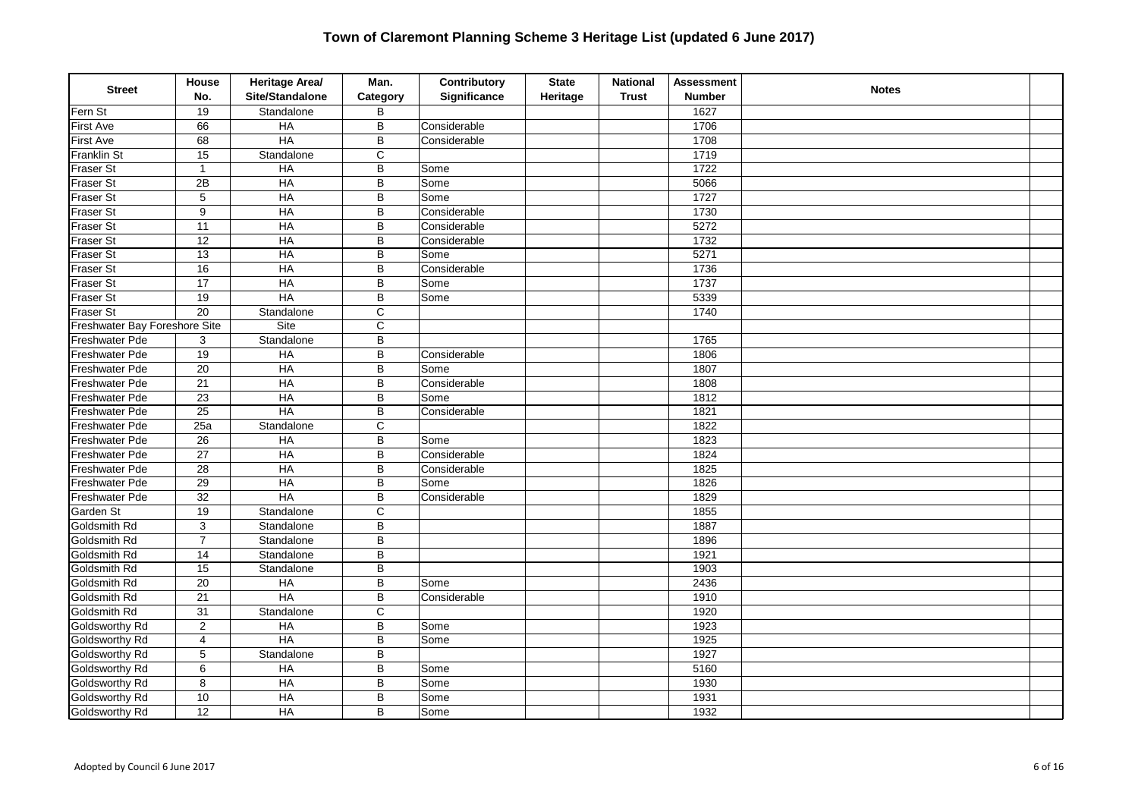| <b>Street</b>                 | House<br>No.            | Heritage Area/<br>Site/Standalone | Man.<br>Category | Contributory<br>Significance | <b>State</b><br>Heritage | <b>National</b><br><b>Trust</b> | <b>Assessment</b><br><b>Number</b> | <b>Notes</b> |  |
|-------------------------------|-------------------------|-----------------------------------|------------------|------------------------------|--------------------------|---------------------------------|------------------------------------|--------------|--|
| Fern St                       | 19                      | Standalone                        | B                |                              |                          |                                 | 1627                               |              |  |
| <b>First Ave</b>              | 66                      | HA                                | B                | Considerable                 |                          |                                 | 1706                               |              |  |
| <b>First Ave</b>              | 68                      | <b>HA</b>                         | $\overline{B}$   | Considerable                 |                          |                                 | 1708                               |              |  |
| Franklin St                   | 15                      | Standalone                        | $\mathsf C$      |                              |                          |                                 | 1719                               |              |  |
| <b>Fraser St</b>              | $\mathbf{1}$            | HA                                | B                | Some                         |                          |                                 | 1722                               |              |  |
| Fraser St                     | $\overline{2B}$         | <b>HA</b>                         | B                | Some                         |                          |                                 | 5066                               |              |  |
| <b>Fraser St</b>              | 5                       | $H$ A                             | B                | Some                         |                          |                                 | 1727                               |              |  |
| Fraser St                     | 9                       | $H$ A                             | B                | Considerable                 |                          |                                 | 1730                               |              |  |
| Fraser St                     | 11                      | HA                                | B                | Considerable                 |                          |                                 | 5272                               |              |  |
| <b>Fraser St</b>              | $\overline{12}$         | HA                                | B                | Considerable                 |                          |                                 | 1732                               |              |  |
| <b>Fraser St</b>              | $\overline{13}$         | HA                                | B                | Some                         |                          |                                 | 5271                               |              |  |
| Fraser St                     | $\overline{16}$         | $H$ A                             | $\overline{B}$   | Considerable                 |                          |                                 | 1736                               |              |  |
| Fraser St                     | $\overline{17}$         | HA                                | B                | Some                         |                          |                                 | 1737                               |              |  |
| Fraser St                     | 19                      | <b>HA</b>                         | B                | Some                         |                          |                                 | 5339                               |              |  |
| <b>Fraser St</b>              | $\overline{20}$         | Standalone                        | C                |                              |                          |                                 | 1740                               |              |  |
| Freshwater Bay Foreshore Site |                         | Site                              | C                |                              |                          |                                 |                                    |              |  |
| Freshwater Pde                | 3                       | Standalone                        | $\overline{B}$   |                              |                          |                                 | 1765                               |              |  |
| Freshwater Pde                | 19                      | HA                                | B                | Considerable                 |                          |                                 | 1806                               |              |  |
| Freshwater Pde                | $\overline{20}$         | $H$ A                             | B                | Some                         |                          |                                 | 1807                               |              |  |
| Freshwater Pde                | $\overline{21}$         | $H$ A                             | B                | Considerable                 |                          |                                 | 1808                               |              |  |
| Freshwater Pde                | $\overline{23}$         | HA                                | B                | Some                         |                          |                                 | 1812                               |              |  |
| Freshwater Pde                | $\overline{25}$         | H A                               | $\overline{B}$   | Considerable                 |                          |                                 | 1821                               |              |  |
| Freshwater Pde                | 25a                     | Standalone                        | $\mathsf C$      |                              |                          |                                 | 1822                               |              |  |
| Freshwater Pde                | 26                      | $H$ A                             | B                | Some                         |                          |                                 | 1823                               |              |  |
| Freshwater Pde                | 27                      | $H$ A                             | B                | Considerable                 |                          |                                 | 1824                               |              |  |
| Freshwater Pde                | 28                      | HA                                | B                | Considerable                 |                          |                                 | 1825                               |              |  |
| <b>Freshwater Pde</b>         | 29                      | HA                                | $\overline{B}$   | Some                         |                          |                                 | 1826                               |              |  |
| Freshwater Pde                | $\overline{32}$         | HA                                | B                | Considerable                 |                          |                                 | 1829                               |              |  |
| Garden St                     | $\overline{19}$         | Standalone                        | $\mathsf{C}$     |                              |                          |                                 | 1855                               |              |  |
| Goldsmith Rd                  | 3                       | Standalone                        | B                |                              |                          |                                 | 1887                               |              |  |
| Goldsmith Rd                  | $\overline{7}$          | Standalone                        | B                |                              |                          |                                 | 1896                               |              |  |
| Goldsmith Rd                  | 14                      | Standalone                        | $\sf B$          |                              |                          |                                 | 1921                               |              |  |
| Goldsmith Rd                  | 15                      | Standalone                        | B                |                              |                          |                                 | 1903                               |              |  |
| Goldsmith Rd                  | 20                      | H A                               | B                | Some                         |                          |                                 | 2436                               |              |  |
| Goldsmith Rd                  | 21                      | $H$ A                             | B                | Considerable                 |                          |                                 | 1910                               |              |  |
| Goldsmith Rd                  | 31                      | Standalone                        | $\mathsf C$      |                              |                          |                                 | 1920                               |              |  |
| Goldsworthy Rd                | $\overline{c}$          | $H$ A                             | B                | Some                         |                          |                                 | 1923                               |              |  |
| Goldsworthy Rd                | $\overline{\mathbf{4}}$ | HA                                | B                | Some                         |                          |                                 | 1925                               |              |  |
| Goldsworthy Rd                | $\mathbf 5$             | Standalone                        | B                |                              |                          |                                 | 1927                               |              |  |
| Goldsworthy Rd                | $\overline{6}$          | HA                                | $\overline{B}$   | Some                         |                          |                                 | 5160                               |              |  |
| Goldsworthy Rd                | $\bf 8$                 | $H$ A                             | B                | Some                         |                          |                                 | 1930                               |              |  |
| Goldsworthy Rd                | 10                      | $H$ A                             | B                | Some                         |                          |                                 | 1931                               |              |  |
| Goldsworthy Rd                | $\overline{12}$         | $H$ A                             | B                | Some                         |                          |                                 | 1932                               |              |  |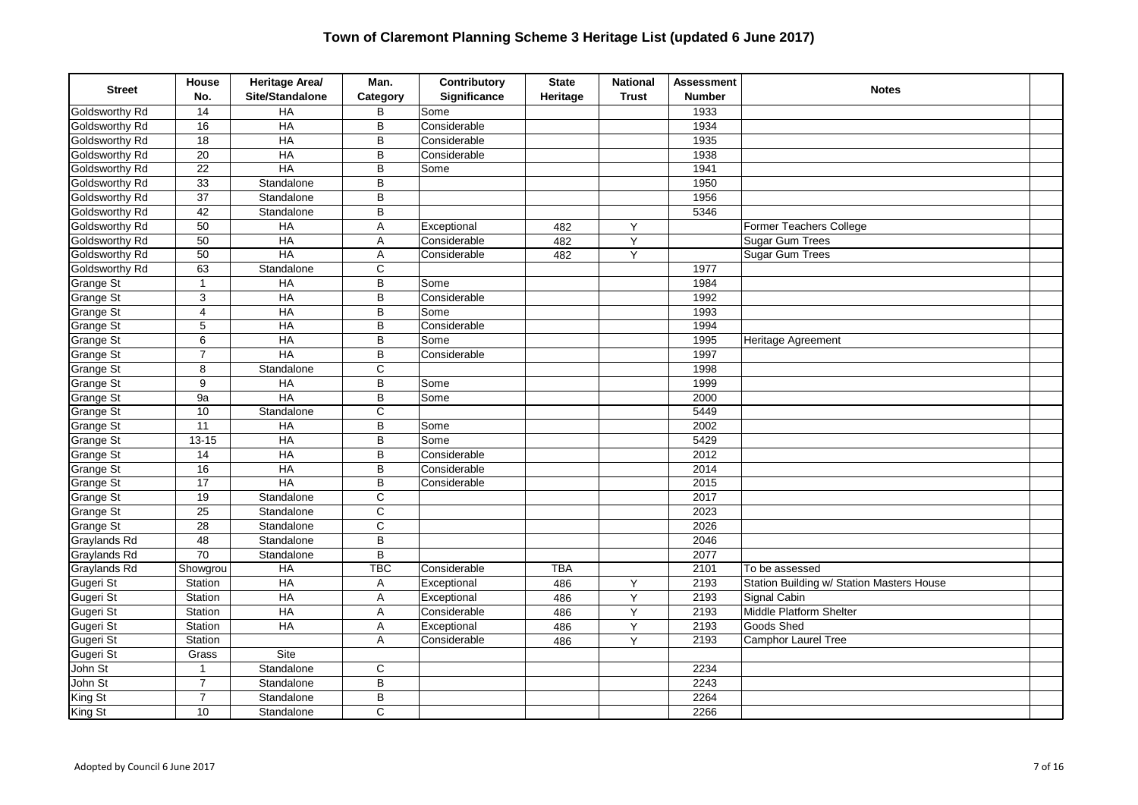| <b>Street</b>         | House<br>No.    | Heritage Area/<br>Site/Standalone | Man.<br>Category        | Contributory<br>Significance | <b>State</b><br>Heritage | <b>National</b><br><b>Trust</b> | <b>Assessment</b><br><b>Number</b> | <b>Notes</b>                              |  |
|-----------------------|-----------------|-----------------------------------|-------------------------|------------------------------|--------------------------|---------------------------------|------------------------------------|-------------------------------------------|--|
| Goldsworthy Rd        | 14              | HA                                | B                       | Some                         |                          |                                 | 1933                               |                                           |  |
| Goldsworthy Rd        | 16              | HA                                | B                       | Considerable                 |                          |                                 | 1934                               |                                           |  |
| Goldsworthy Rd        | $\overline{18}$ | H A                               | B                       | Considerable                 |                          |                                 | 1935                               |                                           |  |
| Goldsworthy Rd        | $\overline{20}$ | HA                                | B                       | Considerable                 |                          |                                 | 1938                               |                                           |  |
| Goldsworthy Rd        | $\overline{22}$ | HA                                | B                       | Some                         |                          |                                 | 1941                               |                                           |  |
| Goldsworthy Rd        | $\overline{33}$ | Standalone                        | B                       |                              |                          |                                 | 1950                               |                                           |  |
| Goldsworthy Rd        | $\overline{37}$ | Standalone                        | B                       |                              |                          |                                 | 1956                               |                                           |  |
| Goldsworthy Rd        | 42              | Standalone                        | B                       |                              |                          |                                 | 5346                               |                                           |  |
| Goldsworthy Rd        | 50              | HA                                | A                       | Exceptional                  | 482                      | Y                               |                                    | Former Teachers College                   |  |
| <b>Goldsworthy Rd</b> | 50              | HA                                | A                       | Considerable                 | 482                      | Υ                               |                                    | Sugar Gum Trees                           |  |
| Goldsworthy Rd        | $\overline{50}$ | H A                               | Α                       | Considerable                 | 482                      | Y                               |                                    | Sugar Gum Trees                           |  |
| Goldsworthy Rd        | 63              | Standalone                        | $\mathsf{C}$            |                              |                          |                                 | 1977                               |                                           |  |
| Grange St             | $\mathbf{1}$    | HA                                | B                       | Some                         |                          |                                 | 1984                               |                                           |  |
| <b>Grange St</b>      | 3               | $H$ A                             | B                       | Considerable                 |                          |                                 | 1992                               |                                           |  |
| Grange St             | $\overline{4}$  | HA                                | B                       | Some                         |                          |                                 | 1993                               |                                           |  |
| Grange St             | $\overline{5}$  | HA                                | B                       | Considerable                 |                          |                                 | 1994                               |                                           |  |
| Grange St             | 6               | <b>HA</b>                         | B                       | Some                         |                          |                                 | 1995                               | Heritage Agreement                        |  |
| Grange St             | $\overline{7}$  | $H$ A                             | B                       | Considerable                 |                          |                                 | 1997                               |                                           |  |
| Grange St             | 8               | Standalone                        | C                       |                              |                          |                                 | 1998                               |                                           |  |
| Grange St             | 9               | $H$ A                             | $\overline{B}$          | Some                         |                          |                                 | 1999                               |                                           |  |
| Grange St             | 9a              | HA                                | B                       | Some                         |                          |                                 | 2000                               |                                           |  |
| Grange St             | 10              | Standalone                        | $\mathsf{C}$            |                              |                          |                                 | 5449                               |                                           |  |
| Grange St             | $\overline{11}$ | HA                                | B                       | Some                         |                          |                                 | 2002                               |                                           |  |
| Grange St             | $13 - 15$       | $H$ A                             | B                       | Some                         |                          |                                 | 5429                               |                                           |  |
| Grange St             | 14              | HA                                | B                       | Considerable                 |                          |                                 | 2012                               |                                           |  |
| Grange St             | 16              | $H$ A                             | B                       | Considerable                 |                          |                                 | 2014                               |                                           |  |
| Grange St             | $\overline{17}$ | HA                                | B                       | Considerable                 |                          |                                 | 2015                               |                                           |  |
| Grange St             | 19              | Standalone                        | $\mathsf C$             |                              |                          |                                 | 2017                               |                                           |  |
| Grange St             | $\overline{25}$ | Standalone                        | $\overline{\mathsf{c}}$ |                              |                          |                                 | 2023                               |                                           |  |
| Grange St             | $\overline{28}$ | Standalone                        | $\overline{C}$          |                              |                          |                                 | 2026                               |                                           |  |
| Graylands Rd          | 48              | Standalone                        | B                       |                              |                          |                                 | 2046                               |                                           |  |
| Graylands Rd          | $\overline{70}$ | Standalone                        | $\overline{B}$          |                              |                          |                                 | 2077                               |                                           |  |
| Graylands Rd          | Showgrou        | <b>HA</b>                         | <b>TBC</b>              | Considerable                 | <b>TBA</b>               |                                 | 2101                               | To be assessed                            |  |
| Gugeri St             | Station         | HA                                | Α                       | Exceptional                  | 486                      | Y                               | 2193                               | Station Building w/ Station Masters House |  |
| Gugeri St             | Station         | HA                                | A                       | Exceptional                  | 486                      | Y                               | 2193                               | Signal Cabin                              |  |
| Gugeri St             | Station         | HA                                | Α                       | Considerable                 | 486                      | Υ                               | 2193                               | Middle Platform Shelter                   |  |
| Gugeri St             | Station         | HA                                | A                       | Exceptional                  | 486                      | Υ                               | 2193                               | Goods Shed                                |  |
| Gugeri St             | Station         |                                   | A                       | Considerable                 | 486                      | Y                               | 2193                               | <b>Camphor Laurel Tree</b>                |  |
| Gugeri St             | Grass           | Site                              |                         |                              |                          |                                 |                                    |                                           |  |
| John St               | 1               | Standalone                        | С                       |                              |                          |                                 | 2234                               |                                           |  |
| John St               | $\overline{7}$  | Standalone                        | $\overline{B}$          |                              |                          |                                 | 2243                               |                                           |  |
| King St               | $\overline{7}$  | Standalone                        | B                       |                              |                          |                                 | 2264                               |                                           |  |
| King St               | 10              | Standalone                        | $\mathsf{C}$            |                              |                          |                                 | 2266                               |                                           |  |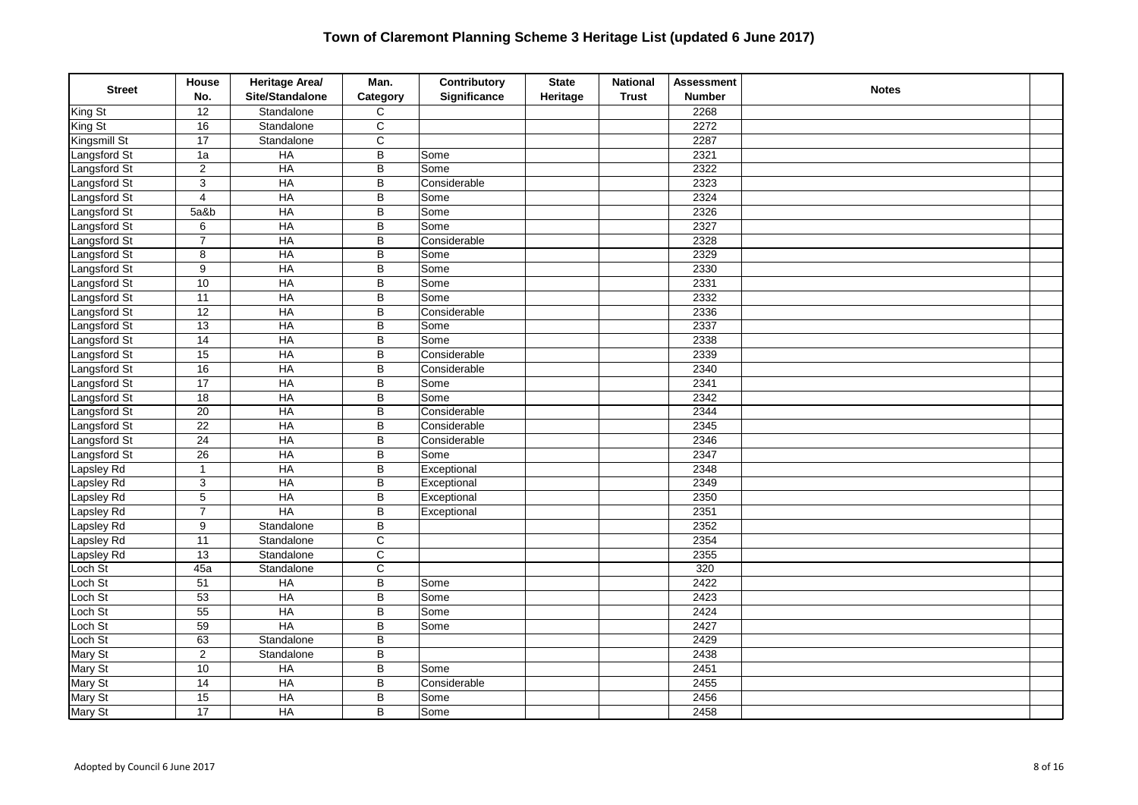| <b>Street</b> | House<br>No.     | Heritage Area/<br>Site/Standalone | Man.<br>Category        | Contributory<br>Significance | <b>State</b><br>Heritage | <b>National</b><br><b>Trust</b> | <b>Assessment</b><br><b>Number</b> | <b>Notes</b> |  |
|---------------|------------------|-----------------------------------|-------------------------|------------------------------|--------------------------|---------------------------------|------------------------------------|--------------|--|
| King St       | 12               | Standalone                        | C                       |                              |                          |                                 | 2268                               |              |  |
| King St       | 16               | Standalone                        | $\overline{C}$          |                              |                          |                                 | 2272                               |              |  |
| Kingsmill St  | $\overline{17}$  | Standalone                        | $\overline{C}$          |                              |                          |                                 | 2287                               |              |  |
| Langsford St  | 1a               | HA                                | $\overline{\mathsf{B}}$ | Some                         |                          |                                 | 2321                               |              |  |
| Langsford St  | $\overline{2}$   | HA                                | B                       | Some                         |                          |                                 | 2322                               |              |  |
| Langsford St  | $\overline{3}$   | <b>HA</b>                         | B                       | Considerable                 |                          |                                 | 2323                               |              |  |
| Langsford St  | 4                | $H$ A                             | B                       | Some                         |                          |                                 | 2324                               |              |  |
| Langsford St  | 5a&b             | $H$ A                             | B                       | Some                         |                          |                                 | 2326                               |              |  |
| Langsford St  | 6                | HA                                | B                       | Some                         |                          |                                 | 2327                               |              |  |
| Langsford St  | $\boldsymbol{7}$ | HA                                | B                       | Considerable                 |                          |                                 | 2328                               |              |  |
| Langsford St  | 8                | HA                                | B                       | Some                         |                          |                                 | 2329                               |              |  |
| Langsford St  | $\overline{9}$   | <b>HA</b>                         | $\overline{\mathsf{B}}$ | Some                         |                          |                                 | 2330                               |              |  |
| Langsford St  | 10               | $H$ A                             | B                       | Some                         |                          |                                 | 2331                               |              |  |
| Langsford St  | 11               | $H$ A                             | B                       | Some                         |                          |                                 | 2332                               |              |  |
| Langsford St  | 12               | HA                                | B                       | Considerable                 |                          |                                 | 2336                               |              |  |
| Langsford St  | 13               | <b>HA</b>                         | B                       | Some                         |                          |                                 | 2337                               |              |  |
| Langsford St  | $\overline{14}$  | H A                               | $\overline{\mathsf{B}}$ | Some                         |                          |                                 | 2338                               |              |  |
| Langsford St  | $\overline{15}$  | HA                                | B                       | Considerable                 |                          |                                 | 2339                               |              |  |
| Langsford St  | 16               | $H$ A                             | B                       | Considerable                 |                          |                                 | 2340                               |              |  |
| Langsford St  | 17               | $H$ A                             | B                       | Some                         |                          |                                 | 2341                               |              |  |
| Langsford St  | 18               | <b>HA</b>                         | B                       | Some                         |                          |                                 | 2342                               |              |  |
| Langsford St  | $\overline{20}$  | HA                                | B                       | Considerable                 |                          |                                 | 2344                               |              |  |
| Langsford St  | $\overline{22}$  | HA                                | B                       | Considerable                 |                          |                                 | 2345                               |              |  |
| Langsford St  | $\overline{24}$  | $H$ A                             | B                       | Considerable                 |                          |                                 | 2346                               |              |  |
| Langsford St  | $\overline{26}$  | HA                                | B                       | Some                         |                          |                                 | 2347                               |              |  |
| apsley Rd     | $\mathbf{1}$     | HA                                | B                       | Exceptional                  |                          |                                 | 2348                               |              |  |
| Lapsley Rd    | $\overline{3}$   | HA                                | B                       | Exceptional                  |                          |                                 | 2349                               |              |  |
| Lapsley Rd    | 5                | HA                                | B                       | Exceptional                  |                          |                                 | 2350                               |              |  |
| Lapsley Rd    | $\overline{7}$   | $\overline{HA}$                   | B                       | Exceptional                  |                          |                                 | 2351                               |              |  |
| Lapsley Rd    | 9                | Standalone                        | B                       |                              |                          |                                 | 2352                               |              |  |
| Lapsley Rd    | $\overline{11}$  | Standalone                        | $\mathsf C$             |                              |                          |                                 | 2354                               |              |  |
| apsley Rd     | $\overline{13}$  | Standalone                        | $\overline{C}$          |                              |                          |                                 | 2355                               |              |  |
| Loch St       | 45a              | Standalone                        | $\overline{\mathsf{C}}$ |                              |                          |                                 | 320                                |              |  |
| Loch St       | $\overline{51}$  | H A                               | B                       | Some                         |                          |                                 | 2422                               |              |  |
| Loch St       | $\overline{53}$  | HA                                | $\overline{B}$          | Some                         |                          |                                 | 2423                               |              |  |
| Loch St       | $\overline{55}$  | HA                                | $\mathsf B$             | Some                         |                          |                                 | 2424                               |              |  |
| Loch St       | 59               | <b>HA</b>                         | B                       | Some                         |                          |                                 | 2427                               |              |  |
| Loch St       | 63               | Standalone                        | B                       |                              |                          |                                 | 2429                               |              |  |
| Mary St       | $\overline{2}$   | Standalone                        | B                       |                              |                          |                                 | 2438                               |              |  |
| Mary St       | 10               | HA                                | $\overline{B}$          | Some                         |                          |                                 | 2451                               |              |  |
| Mary St       | $\overline{14}$  | HA                                | $\sf B$                 | Considerable                 |                          |                                 | 2455                               |              |  |
| Mary St       | 15               | $H$ A                             | B                       | Some                         |                          |                                 | 2456                               |              |  |
| Mary St       | $\overline{17}$  | $H$ A                             | B                       | Some                         |                          |                                 | 2458                               |              |  |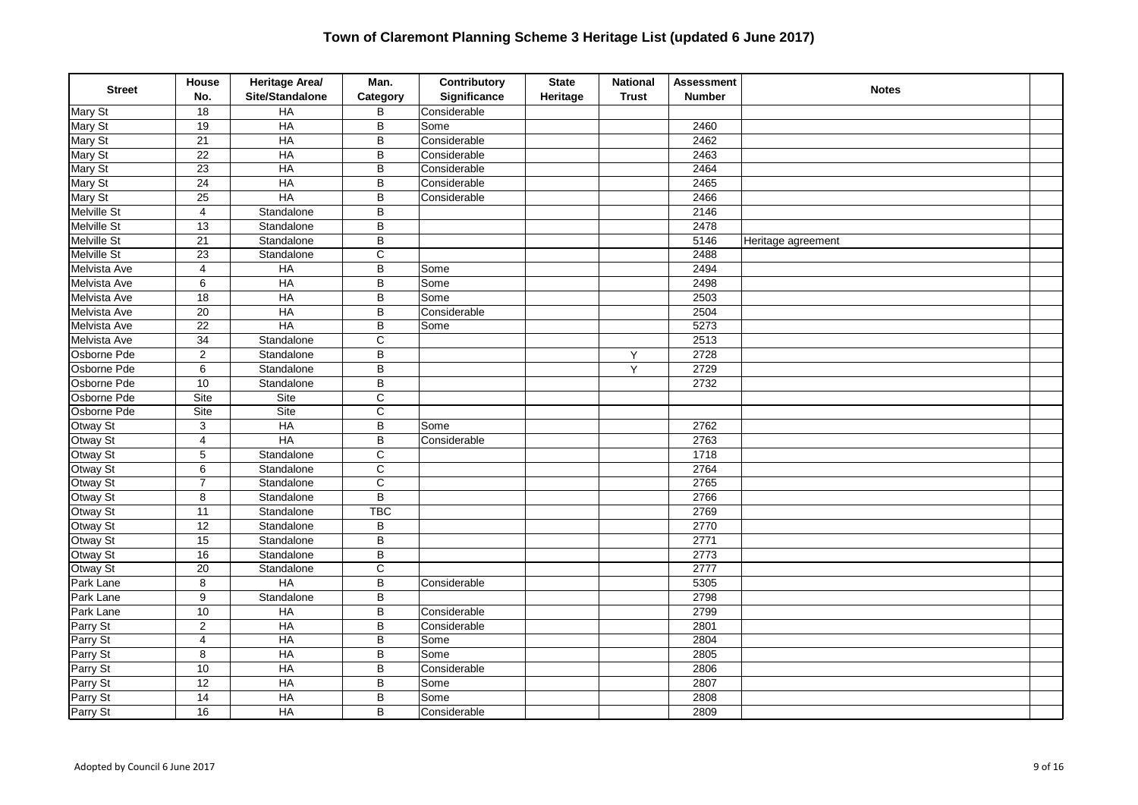| <b>Street</b>       | House<br>No.            | Heritage Area/<br>Site/Standalone | Man.<br>Category      | Contributory<br>Significance | <b>State</b><br>Heritage | <b>National</b><br><b>Trust</b> | <b>Assessment</b><br><b>Number</b> | <b>Notes</b>       |  |
|---------------------|-------------------------|-----------------------------------|-----------------------|------------------------------|--------------------------|---------------------------------|------------------------------------|--------------------|--|
| Mary St             | 18                      | HA                                | B                     | Considerable                 |                          |                                 |                                    |                    |  |
| Mary St             | 19                      | $H$ A                             | B                     | Some                         |                          |                                 | 2460                               |                    |  |
| Mary St             | $\overline{21}$         | HA                                | $\overline{B}$        | Considerable                 |                          |                                 | 2462                               |                    |  |
| Mary St             | $\overline{22}$         | HA                                | B                     | Considerable                 |                          |                                 | 2463                               |                    |  |
| Mary St             | $\overline{23}$         | HA                                | B                     | Considerable                 |                          |                                 | 2464                               |                    |  |
| Mary St             | $\overline{24}$         | <b>HA</b>                         | B                     | Considerable                 |                          |                                 | 2465                               |                    |  |
| Mary St             | 25                      | HA                                | B                     | Considerable                 |                          |                                 | 2466                               |                    |  |
| <b>Melville St</b>  | $\overline{\mathbf{4}}$ | Standalone                        | B                     |                              |                          |                                 | 2146                               |                    |  |
| <b>Melville St</b>  | 13                      | Standalone                        | B                     |                              |                          |                                 | 2478                               |                    |  |
| <b>Melville St</b>  | 21                      | Standalone                        | B                     |                              |                          |                                 | 5146                               | Heritage agreement |  |
| Melville St         | $\overline{23}$         | Standalone                        | $\overline{C}$        |                              |                          |                                 | 2488                               |                    |  |
| <b>Melvista Ave</b> | $\overline{4}$          | $H$ A                             | $\overline{B}$        | Some                         |                          |                                 | 2494                               |                    |  |
| Melvista Ave        | $\,6$                   | HA                                | $\sf B$               | Some                         |                          |                                 | 2498                               |                    |  |
| Melvista Ave        | 18                      | <b>HA</b>                         | B                     | Some                         |                          |                                 | 2503                               |                    |  |
| Melvista Ave        | $\overline{20}$         | HA                                | B                     | Considerable                 |                          |                                 | 2504                               |                    |  |
| Melvista Ave        | $\overline{22}$         | HA                                | B                     | Some                         |                          |                                 | 5273                               |                    |  |
| <b>Melvista Ave</b> | $\overline{34}$         | Standalone                        | $\overline{\text{c}}$ |                              |                          |                                 | 2513                               |                    |  |
| Osborne Pde         | $\mathbf 2$             | Standalone                        | B                     |                              |                          | Υ                               | 2728                               |                    |  |
| Osborne Pde         | $\,6$                   | Standalone                        | B                     |                              |                          | Y                               | 2729                               |                    |  |
| Osborne Pde         | 10                      | Standalone                        | B                     |                              |                          |                                 | 2732                               |                    |  |
| Osborne Pde         | Site                    | Site                              | $\mathsf C$           |                              |                          |                                 |                                    |                    |  |
| Osborne Pde         | Site                    | Site                              | $\overline{c}$        |                              |                          |                                 |                                    |                    |  |
| Otway St            | $\mathsf 3$             | <b>HA</b>                         | $\overline{B}$        | Some                         |                          |                                 | 2762                               |                    |  |
| Otway St            | $\overline{4}$          | HA                                | B                     | Considerable                 |                          |                                 | 2763                               |                    |  |
| Otway St            | 5                       | Standalone                        | C                     |                              |                          |                                 | 1718                               |                    |  |
| Otway St            | 6                       | Standalone                        | $\overline{C}$        |                              |                          |                                 | 2764                               |                    |  |
| Otway St            | $\overline{7}$          | Standalone                        | $\overline{C}$        |                              |                          |                                 | 2765                               |                    |  |
| Otway St            | 8                       | Standalone                        | B                     |                              |                          |                                 | 2766                               |                    |  |
| Otway St            | $\overline{11}$         | Standalone                        | <b>TBC</b>            |                              |                          |                                 | 2769                               |                    |  |
| Otway St            | 12                      | Standalone                        | B                     |                              |                          |                                 | 2770                               |                    |  |
| Otway St            | 15                      | Standalone                        | B                     |                              |                          |                                 | 2771                               |                    |  |
| Otway St            | 16                      | Standalone                        | $\sf B$               |                              |                          |                                 | 2773                               |                    |  |
| Otway St            | 20                      | Standalone                        | $\overline{C}$        |                              |                          |                                 | 2777                               |                    |  |
| Park Lane           | 8                       | <b>HA</b>                         | B                     | Considerable                 |                          |                                 | 5305                               |                    |  |
| Park Lane           | 9                       | Standalone                        | B                     |                              |                          |                                 | 2798                               |                    |  |
| Park Lane           | 10                      | $H$ A                             | $\sf B$               | Considerable                 |                          |                                 | 2799                               |                    |  |
| Parry St            | $\overline{c}$          | HA                                | B                     | Considerable                 |                          |                                 | 2801                               |                    |  |
| Parry St            | $\overline{4}$          | HA                                | B                     | Some                         |                          |                                 | 2804                               |                    |  |
| Parry St            | 8                       | HA                                | B                     | Some                         |                          |                                 | 2805                               |                    |  |
| Parry St            | 10                      | HA                                | $\overline{B}$        | Considerable                 |                          |                                 | 2806                               |                    |  |
| Parry St            | 12                      | $H$ A                             | B                     | Some                         |                          |                                 | 2807                               |                    |  |
| Parry St            | $\overline{14}$         | $H$ A                             | B                     | Some                         |                          |                                 | 2808                               |                    |  |
| Parry St            | 16                      | $H$ A                             | B                     | Considerable                 |                          |                                 | 2809                               |                    |  |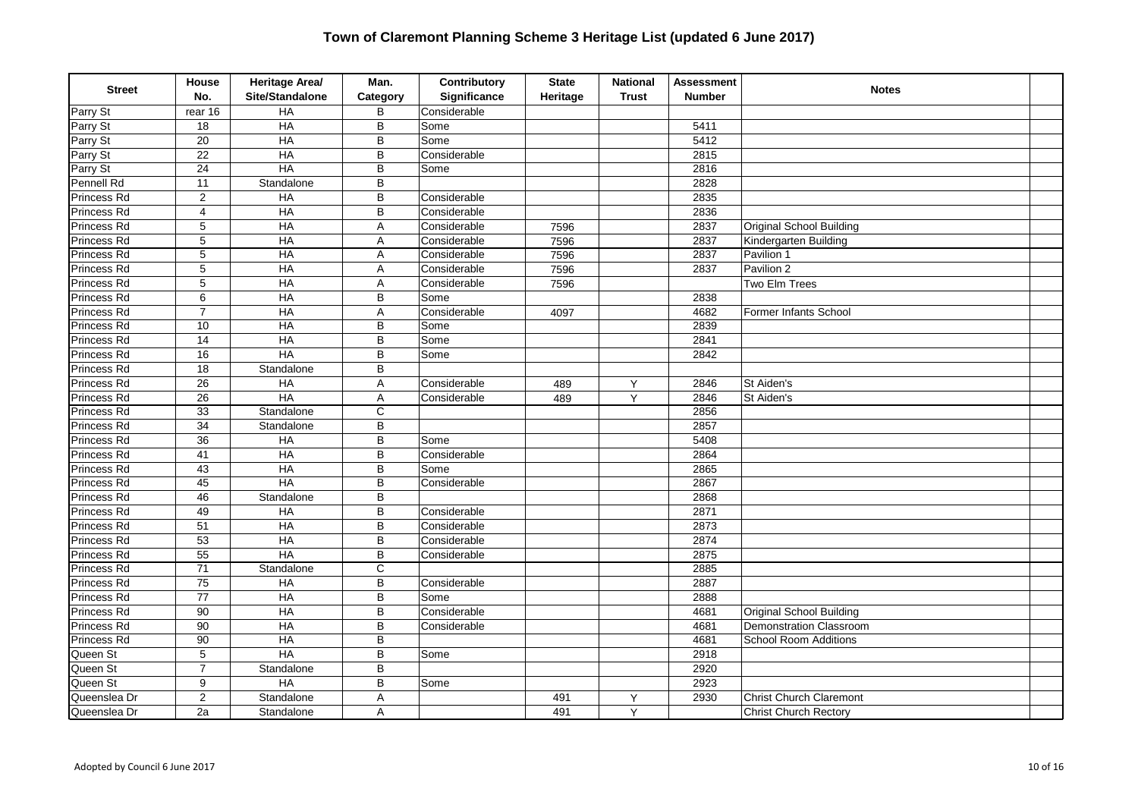| <b>Street</b> | House<br>No.    | Heritage Area/<br>Site/Standalone | Man.<br>Category | Contributory<br>Significance | <b>State</b><br>Heritage | <b>National</b><br><b>Trust</b> | <b>Assessment</b><br><b>Number</b> | <b>Notes</b>                    |  |
|---------------|-----------------|-----------------------------------|------------------|------------------------------|--------------------------|---------------------------------|------------------------------------|---------------------------------|--|
| Parry St      | rear $16$       | <b>HA</b>                         | B                | Considerable                 |                          |                                 |                                    |                                 |  |
| Parry St      | 18              | $H$ A                             | B                | Some                         |                          |                                 | 5411                               |                                 |  |
| Parry St      | 20              | $H$ A                             | B                | Some                         |                          |                                 | 5412                               |                                 |  |
| Parry St      | $\overline{22}$ | HA                                | B                | Considerable                 |                          |                                 | 2815                               |                                 |  |
| Parry St      | $\overline{24}$ | HA                                | B                | Some                         |                          |                                 | 2816                               |                                 |  |
| Pennell Rd    | $\overline{11}$ | Standalone                        | B                |                              |                          |                                 | 2828                               |                                 |  |
| Princess Rd   | $\overline{2}$  | $H$ A                             | B                | Considerable                 |                          |                                 | 2835                               |                                 |  |
| Princess Rd   | $\overline{4}$  | $H$ A                             | B                | Considerable                 |                          |                                 | 2836                               |                                 |  |
| Princess Rd   | 5               | $H$ A                             | Α                | Considerable                 | 7596                     |                                 | 2837                               | <b>Original School Building</b> |  |
| Princess Rd   | $\overline{5}$  | HA                                | A                | Considerable                 | 7596                     |                                 | 2837                               | Kindergarten Building           |  |
| Princess Rd   | $\overline{5}$  | H A                               | A                | Considerable                 | 7596                     |                                 | 2837                               | Pavilion 1                      |  |
| Princess Rd   | $\overline{5}$  | <b>HA</b>                         | Α                | Considerable                 | 7596                     |                                 | 2837                               | Pavilion 2                      |  |
| Princess Rd   | 5               | HA                                | A                | Considerable                 | 7596                     |                                 |                                    | Two Elm Trees                   |  |
| Princess Rd   | 6               | $H$ A                             | B                | Some                         |                          |                                 | 2838                               |                                 |  |
| Princess Rd   | $\overline{7}$  | HA                                | Α                | Considerable                 | 4097                     |                                 | 4682                               | Former Infants School           |  |
| Princess Rd   | 10              | HA                                | B                | Some                         |                          |                                 | 2839                               |                                 |  |
| Princess Rd   | $\overline{14}$ | HA                                | B                | Some                         |                          |                                 | 2841                               |                                 |  |
| Princess Rd   | 16              | $H$ A                             | B                | Some                         |                          |                                 | 2842                               |                                 |  |
| Princess Rd   | $\overline{18}$ | Standalone                        | B                |                              |                          |                                 |                                    |                                 |  |
| Princess Rd   | $\overline{26}$ | HA                                | A                | Considerable                 | 489                      | Υ                               | 2846                               | St Aiden's                      |  |
| Princess Rd   | $\overline{26}$ | HA                                | A                | Considerable                 | 489                      | Y                               | 2846                               | St Aiden's                      |  |
| Princess Rd   | $\overline{33}$ | Standalone                        | C                |                              |                          |                                 | 2856                               |                                 |  |
| Princess Rd   | $\overline{34}$ | Standalone                        | $\overline{B}$   |                              |                          |                                 | 2857                               |                                 |  |
| Princess Rd   | $\overline{36}$ | HA                                | B                | Some                         |                          |                                 | 5408                               |                                 |  |
| Princess Rd   | 41              | $H$ A                             | B                | Considerable                 |                          |                                 | 2864                               |                                 |  |
| Princess Rd   | 43              | $H$ A                             | B                | Some                         |                          |                                 | 2865                               |                                 |  |
| Princess Rd   | 45              | HA                                | B                | Considerable                 |                          |                                 | 2867                               |                                 |  |
| Princess Rd   | 46              | Standalone                        | B                |                              |                          |                                 | 2868                               |                                 |  |
| Princess Rd   | 49              | HA                                | B                | Considerable                 |                          |                                 | 2871                               |                                 |  |
| Princess Rd   | 51              | $H$ A                             | B                | Considerable                 |                          |                                 | 2873                               |                                 |  |
| Princess Rd   | 53              | $H$ A                             | B                | Considerable                 |                          |                                 | 2874                               |                                 |  |
| Princess Rd   | 55              | <b>HA</b>                         | B                | Considerable                 |                          |                                 | 2875                               |                                 |  |
| Princess Rd   | 71              | Standalone                        | C                |                              |                          |                                 | 2885                               |                                 |  |
| Princess Rd   | $\overline{75}$ | HA                                | B                | Considerable                 |                          |                                 | 2887                               |                                 |  |
| Princess Rd   | $\overline{77}$ | <b>HA</b>                         | B                | Some                         |                          |                                 | 2888                               |                                 |  |
| Princess Rd   | 90              | $H$ A                             | B                | Considerable                 |                          |                                 | 4681                               | Original School Building        |  |
| Princess Rd   | 90              | HA                                | B                | Considerable                 |                          |                                 | 4681                               | Demonstration Classroom         |  |
| Princess Rd   | 90              | HA                                | B                |                              |                          |                                 | 4681                               | <b>School Room Additions</b>    |  |
| Queen St      | $\overline{5}$  | HA                                | B                | Some                         |                          |                                 | 2918                               |                                 |  |
| Queen St      | $\overline{7}$  | Standalone                        | B                |                              |                          |                                 | 2920                               |                                 |  |
| Queen St      | 9               | HA                                | B                | Some                         |                          |                                 | 2923                               |                                 |  |
| Queenslea Dr  | 2               | Standalone                        | Α                |                              | 491                      | Y                               | 2930                               | <b>Christ Church Claremont</b>  |  |
| Queenslea Dr  | 2a              | Standalone                        | Α                |                              | 491                      | Y                               |                                    | <b>Christ Church Rectory</b>    |  |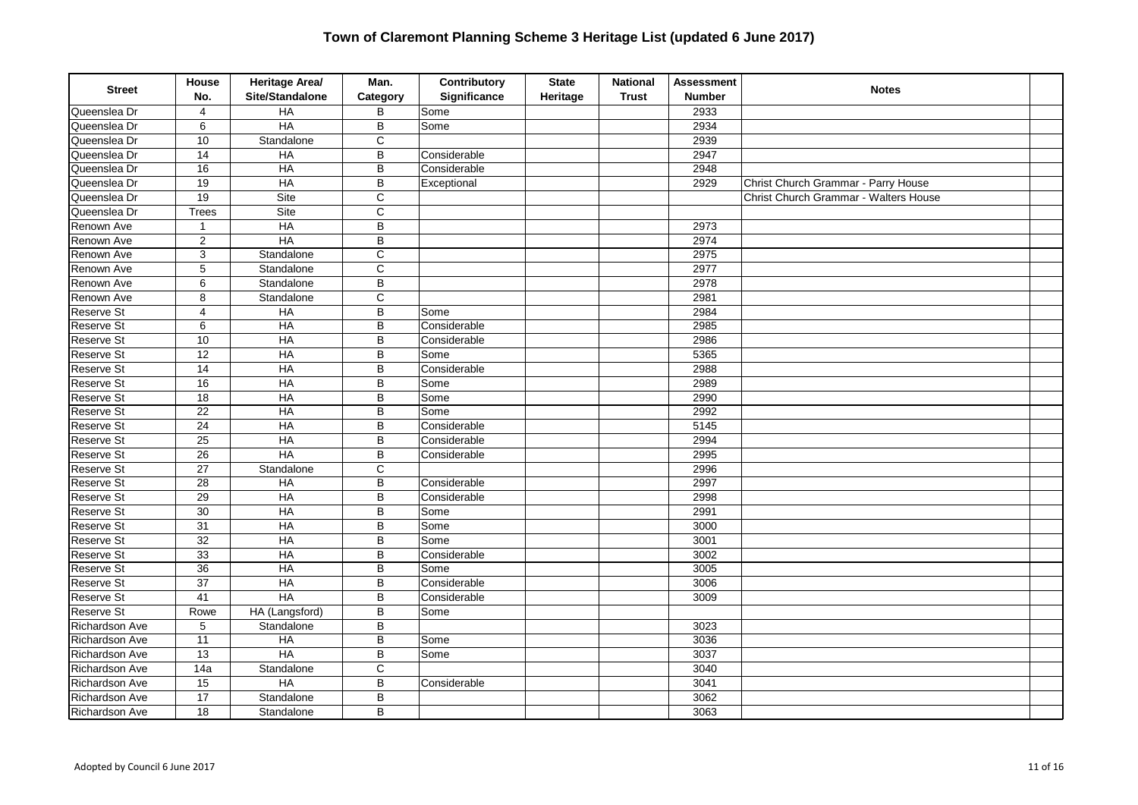| <b>Street</b>         | House<br>No.     | Heritage Area/<br>Site/Standalone | Man.<br>Category        | Contributory<br>Significance | <b>State</b><br>Heritage | <b>National</b><br><b>Trust</b> | <b>Assessment</b><br><b>Number</b> | <b>Notes</b>                          |  |
|-----------------------|------------------|-----------------------------------|-------------------------|------------------------------|--------------------------|---------------------------------|------------------------------------|---------------------------------------|--|
| Queenslea Dr          | $\overline{4}$   | HA                                | B                       | Some                         |                          |                                 | 2933                               |                                       |  |
| Queenslea Dr          | 6                | HA                                | B                       | Some                         |                          |                                 | 2934                               |                                       |  |
| Queenslea Dr          | 10               | Standalone                        | $\mathsf C$             |                              |                          |                                 | 2939                               |                                       |  |
| Queenslea Dr          | 14               | <b>HA</b>                         | B                       | Considerable                 |                          |                                 | 2947                               |                                       |  |
| Queenslea Dr          | 16               | HA                                | B                       | Considerable                 |                          |                                 | 2948                               |                                       |  |
| Queenslea Dr          | $\overline{19}$  | $H$ A                             | B                       | Exceptional                  |                          |                                 | 2929                               | Christ Church Grammar - Parry House   |  |
| Queenslea Dr          | 19               | Site                              | $\overline{c}$          |                              |                          |                                 |                                    | Christ Church Grammar - Walters House |  |
| Queenslea Dr          | <b>Trees</b>     | Site                              | $\mathsf C$             |                              |                          |                                 |                                    |                                       |  |
| Renown Ave            | $\mathbf{1}$     | HA                                | $\overline{B}$          |                              |                          |                                 | 2973                               |                                       |  |
| Renown Ave            | $\overline{2}$   | HA                                | $\overline{\mathsf{B}}$ |                              |                          |                                 | 2974                               |                                       |  |
| Renown Ave            | 3                | Standalone                        | C                       |                              |                          |                                 | 2975                               |                                       |  |
| Renown Ave            | 5                | Standalone                        | $\overline{\mathsf{c}}$ |                              |                          |                                 | 2977                               |                                       |  |
| Renown Ave            | 6                | Standalone                        | $\sf B$                 |                              |                          |                                 | 2978                               |                                       |  |
| Renown Ave            | 8                | Standalone                        | $\overline{c}$          |                              |                          |                                 | 2981                               |                                       |  |
| <b>Reserve St</b>     | $\overline{4}$   | HA                                | B                       | Some                         |                          |                                 | 2984                               |                                       |  |
| Reserve St            | 6                | HA                                | B                       | Considerable                 |                          |                                 | 2985                               |                                       |  |
| <b>Reserve St</b>     | 10               | HA                                | B                       | Considerable                 |                          |                                 | 2986                               |                                       |  |
| Reserve St            | $\overline{12}$  | $H$ A                             | B                       | Some                         |                          |                                 | 5365                               |                                       |  |
| <b>Reserve St</b>     | $\overline{14}$  | $H$ A                             | B                       | Considerable                 |                          |                                 | 2988                               |                                       |  |
| Reserve St            | 16               | HA                                | B                       | Some                         |                          |                                 | 2989                               |                                       |  |
| Reserve St            | $\overline{18}$  | HA                                | B                       | Some                         |                          |                                 | 2990                               |                                       |  |
| Reserve St            | 22               | HA                                | B                       | Some                         |                          |                                 | 2992                               |                                       |  |
| <b>Reserve St</b>     | $\overline{24}$  | <b>HA</b>                         | B                       | Considerable                 |                          |                                 | 5145                               |                                       |  |
| Reserve St            | $\overline{25}$  | HA                                | $\overline{B}$          | Considerable                 |                          |                                 | 2994                               |                                       |  |
| Reserve St            | $\overline{26}$  | HA                                | B                       | Considerable                 |                          |                                 | 2995                               |                                       |  |
| Reserve St            | $\overline{27}$  | Standalone                        | $\mathsf{C}$            |                              |                          |                                 | 2996                               |                                       |  |
| Reserve St            | 28               | HA                                | B                       | Considerable                 |                          |                                 | 2997                               |                                       |  |
| <b>Reserve St</b>     | 29               | HA                                | B                       | Considerable                 |                          |                                 | 2998                               |                                       |  |
| Reserve St            | $\overline{30}$  | <b>HA</b>                         | $\overline{B}$          | Some                         |                          |                                 | 2991                               |                                       |  |
| Reserve St            | 31               | HA                                | B                       | Some                         |                          |                                 | 3000                               |                                       |  |
| <b>Reserve St</b>     | $\overline{32}$  | $H$ A                             | B                       | Some                         |                          |                                 | 3001                               |                                       |  |
| Reserve St            | 33               | HA                                | B                       | Considerable                 |                          |                                 | 3002                               |                                       |  |
| <b>Reserve St</b>     | 36               | <b>HA</b>                         | B                       | Some                         |                          |                                 | 3005                               |                                       |  |
| Reserve St            | $\overline{37}$  | <b>HA</b>                         | $\overline{\mathsf{B}}$ | Considerable                 |                          |                                 | 3006                               |                                       |  |
| Reserve St            | 41               | <b>HA</b>                         | B                       | Considerable                 |                          |                                 | 3009                               |                                       |  |
| <b>Reserve St</b>     | Rowe             | HA (Langsford)                    | B                       | Some                         |                          |                                 |                                    |                                       |  |
| Richardson Ave        | $\,$ 5 $\,$      | Standalone                        | B                       |                              |                          |                                 | 3023                               |                                       |  |
| Richardson Ave        | 11               | HA                                | B                       | Some                         |                          |                                 | 3036                               |                                       |  |
| <b>Richardson Ave</b> | $\overline{13}$  | HA                                | $\overline{B}$          | Some                         |                          |                                 | 3037                               |                                       |  |
| Richardson Ave        | $\overline{14a}$ | Standalone                        | $\overline{C}$          |                              |                          |                                 | 3040                               |                                       |  |
| <b>Richardson Ave</b> | 15               | HA                                | B                       | Considerable                 |                          |                                 | 3041                               |                                       |  |
| Richardson Ave        | 17               | Standalone                        | B                       |                              |                          |                                 | 3062                               |                                       |  |
| Richardson Ave        | 18               | Standalone                        | B                       |                              |                          |                                 | 3063                               |                                       |  |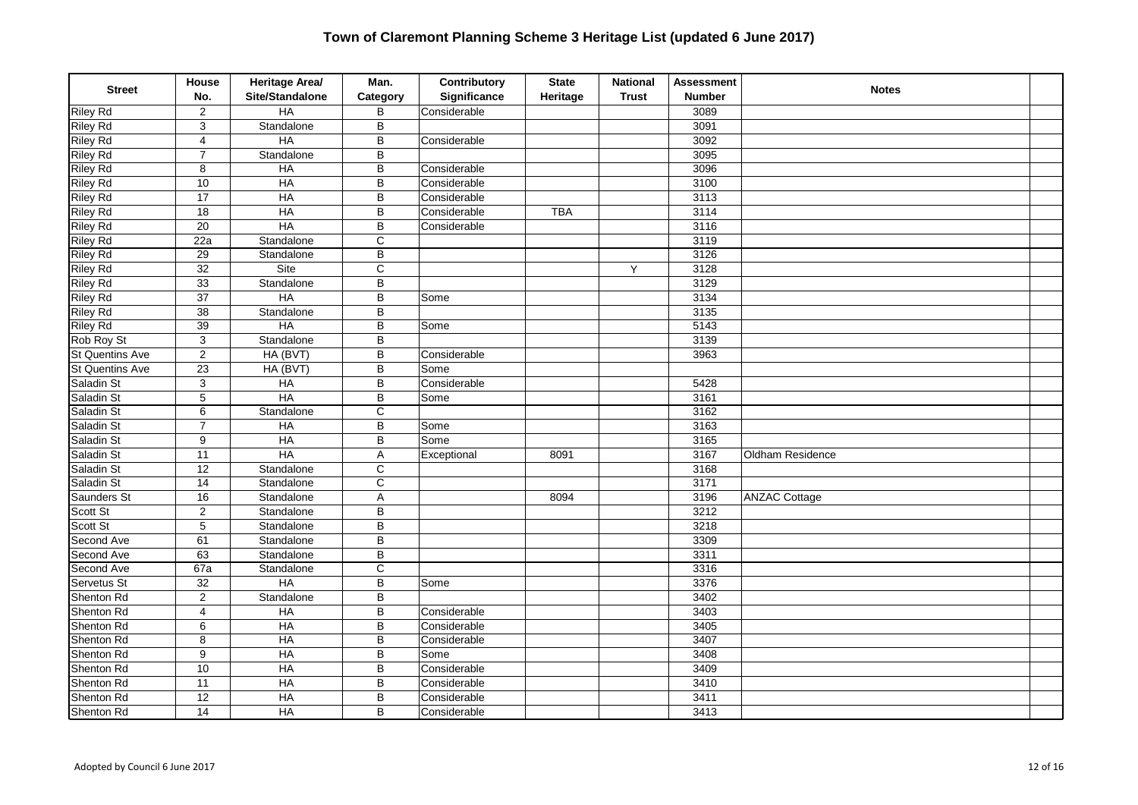| <b>Street</b>          | House<br>No.            | Heritage Area/<br>Site/Standalone | Man.<br>Category        | Contributory<br>Significance | <b>State</b><br>Heritage | <b>National</b><br><b>Trust</b> | <b>Assessment</b><br><b>Number</b> | <b>Notes</b>         |  |
|------------------------|-------------------------|-----------------------------------|-------------------------|------------------------------|--------------------------|---------------------------------|------------------------------------|----------------------|--|
| <b>Riley Rd</b>        | $\overline{2}$          | HA                                | B                       | Considerable                 |                          |                                 | 3089                               |                      |  |
| <b>Riley Rd</b>        | 3                       | Standalone                        | B                       |                              |                          |                                 | 3091                               |                      |  |
| <b>Riley Rd</b>        | 4                       | <b>HA</b>                         | B                       | Considerable                 |                          |                                 | 3092                               |                      |  |
| <b>Riley Rd</b>        | $\overline{7}$          | Standalone                        | B                       |                              |                          |                                 | 3095                               |                      |  |
| <b>Riley Rd</b>        | 8                       | HA                                | B                       | Considerable                 |                          |                                 | 3096                               |                      |  |
| <b>Riley Rd</b>        | $\overline{10}$         | HA                                | $\overline{\mathsf{B}}$ | Considerable                 |                          |                                 | 3100                               |                      |  |
| <b>Riley Rd</b>        | $\overline{17}$         | $H$ A                             | B                       | Considerable                 |                          |                                 | $\frac{1}{3113}$                   |                      |  |
| <b>Riley Rd</b>        | 18                      | $H$ A                             | B                       | Considerable                 | <b>TBA</b>               |                                 | 3114                               |                      |  |
| <b>Riley Rd</b>        | $\overline{20}$         | HA                                | B                       | Considerable                 |                          |                                 | $\frac{1}{3116}$                   |                      |  |
| <b>Riley Rd</b>        | 22a                     | Standalone                        | $\overline{\mathrm{c}}$ |                              |                          |                                 | 3119                               |                      |  |
| <b>Riley Rd</b>        | $\overline{29}$         | Standalone                        | B                       |                              |                          |                                 | 3126                               |                      |  |
| <b>Riley Rd</b>        | $\overline{32}$         | Site                              | C                       |                              |                          | Y                               | 3128                               |                      |  |
| <b>Riley Rd</b>        | 33                      | Standalone                        | B                       |                              |                          |                                 | 3129                               |                      |  |
| <b>Riley Rd</b>        | $\overline{37}$         | <b>HA</b>                         | $\overline{B}$          | Some                         |                          |                                 | 3134                               |                      |  |
| <b>Riley Rd</b>        | $\overline{38}$         | Standalone                        | B                       |                              |                          |                                 | 3135                               |                      |  |
| <b>Riley Rd</b>        | $\overline{39}$         | <b>HA</b>                         | B                       | Some                         |                          |                                 | 5143                               |                      |  |
| Rob Roy St             | 3                       | Standalone                        | $\overline{\mathsf{B}}$ |                              |                          |                                 | 3139                               |                      |  |
| <b>St Quentins Ave</b> | $\sqrt{2}$              | HA (BVT)                          | B                       | Considerable                 |                          |                                 | 3963                               |                      |  |
| <b>St Quentins Ave</b> | $\overline{23}$         | HA (BVT)                          | B                       | Some                         |                          |                                 |                                    |                      |  |
| Saladin St             | $\sqrt{3}$              | HA                                | $\overline{B}$          | Considerable                 |                          |                                 | 5428                               |                      |  |
| Saladin St             | 5                       | HA                                | B                       | Some                         |                          |                                 | 3161                               |                      |  |
| Saladin St             | 6                       | Standalone                        | $\mathbf C$             |                              |                          |                                 | 3162                               |                      |  |
| Saladin St             | $\overline{7}$          | HA                                | $\overline{B}$          | Some                         |                          |                                 | 3163                               |                      |  |
| Saladin St             | $\boldsymbol{9}$        | HA                                | B                       | Some                         |                          |                                 | 3165                               |                      |  |
| Saladin St             | $\overline{11}$         | HA                                | A                       | Exceptional                  | 8091                     |                                 | 3167                               | Oldham Residence     |  |
| Saladin St             | 12                      | Standalone                        | C                       |                              |                          |                                 | 3168                               |                      |  |
| Saladin St             | $\overline{14}$         | Standalone                        | C                       |                              |                          |                                 | 3171                               |                      |  |
| Saunders St            | 16                      | Standalone                        | A                       |                              | 8094                     |                                 | 3196                               | <b>ANZAC Cottage</b> |  |
| Scott St               | $\overline{2}$          | Standalone                        | $\overline{\mathsf{B}}$ |                              |                          |                                 | 3212                               |                      |  |
| Scott St               | 5                       | Standalone                        | B                       |                              |                          |                                 | 3218                               |                      |  |
| Second Ave             | 61                      | Standalone                        | $\sf B$                 |                              |                          |                                 | 3309                               |                      |  |
| Second Ave             | 63                      | Standalone                        | B                       |                              |                          |                                 | 3311                               |                      |  |
| Second Ave             | 67a                     | Standalone                        | $\overline{C}$          |                              |                          |                                 | 3316                               |                      |  |
| Servetus St            | $\overline{32}$         | <b>HA</b>                         | $\overline{B}$          | Some                         |                          |                                 | 3376                               |                      |  |
| Shenton Rd             | $\overline{2}$          | Standalone                        | B                       |                              |                          |                                 | 3402                               |                      |  |
| Shenton Rd             | $\overline{\mathbf{4}}$ | HA                                | B                       | Considerable                 |                          |                                 | 3403                               |                      |  |
| Shenton Rd             | 6                       | $H$ A                             | B                       | Considerable                 |                          |                                 | 3405                               |                      |  |
| Shenton Rd             | 8                       | HA                                | B                       | Considerable                 |                          |                                 | 3407                               |                      |  |
| Shenton Rd             | $\overline{9}$          | HA                                | $\overline{B}$          | Some                         |                          |                                 | 3408                               |                      |  |
| Shenton Rd             | 10                      | HA                                | $\overline{B}$          | Considerable                 |                          |                                 | 3409                               |                      |  |
| Shenton Rd             | $\overline{11}$         | HA                                | B                       | Considerable                 |                          |                                 | 3410                               |                      |  |
| Shenton Rd             | $\overline{12}$         | $H$ A                             | B                       | Considerable                 |                          |                                 | 3411                               |                      |  |
| Shenton Rd             | $\overline{14}$         | $H$ A                             | B                       | Considerable                 |                          |                                 | 3413                               |                      |  |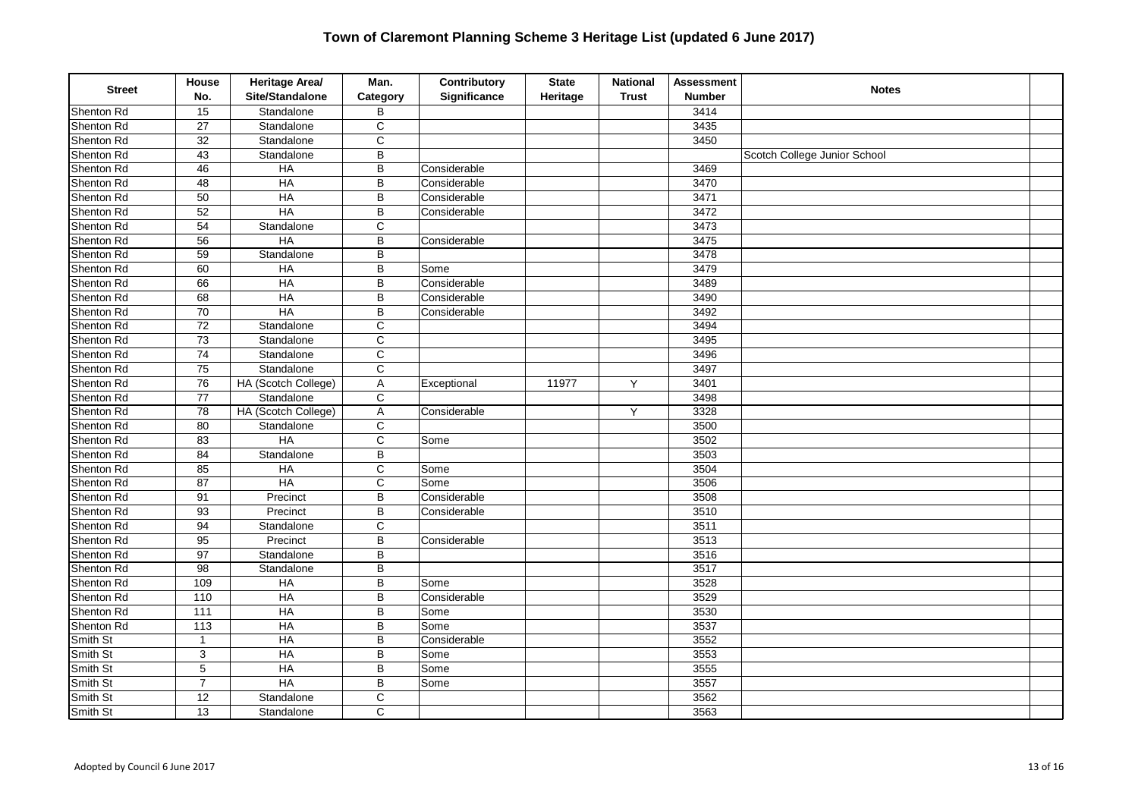| <b>Street</b> | House<br>No.      | Heritage Area/<br>Site/Standalone | Man.<br>Category      | Contributory<br>Significance | <b>State</b><br>Heritage | <b>National</b><br><b>Trust</b> | <b>Assessment</b><br><b>Number</b> | <b>Notes</b>                 |  |
|---------------|-------------------|-----------------------------------|-----------------------|------------------------------|--------------------------|---------------------------------|------------------------------------|------------------------------|--|
| Shenton Rd    | 15                | Standalone                        | B                     |                              |                          |                                 | 3414                               |                              |  |
| Shenton Rd    | 27                | Standalone                        | C                     |                              |                          |                                 | 3435                               |                              |  |
| Shenton Rd    | 32                | Standalone                        | $\mathsf C$           |                              |                          |                                 | 3450                               |                              |  |
| Shenton Rd    | 43                | Standalone                        | B                     |                              |                          |                                 |                                    | Scotch College Junior School |  |
| Shenton Rd    | 46                | HA                                | $\overline{B}$        | Considerable                 |                          |                                 | 3469                               |                              |  |
| Shenton Rd    | $\overline{48}$   | H A                               | $\overline{B}$        | Considerable                 |                          |                                 | 3470                               |                              |  |
| Shenton Rd    | 50                | $H$ A                             | B                     | Considerable                 |                          |                                 | 3471                               |                              |  |
| Shenton Rd    | 52                | $H$ A                             | B                     | Considerable                 |                          |                                 | 3472                               |                              |  |
| Shenton Rd    | 54                | Standalone                        | C                     |                              |                          |                                 | 3473                               |                              |  |
| Shenton Rd    | 56                | HA                                | B                     | Considerable                 |                          |                                 | 3475                               |                              |  |
| Shenton Rd    | $\overline{59}$   | Standalone                        | B                     |                              |                          |                                 | 3478                               |                              |  |
| Shenton Rd    | 60                | $H$ A                             | B                     | Some                         |                          |                                 | 3479                               |                              |  |
| Shenton Rd    | 66                | $H$ A                             | B                     | Considerable                 |                          |                                 | 3489                               |                              |  |
| Shenton Rd    | 68                | $H$ A                             | B                     | Considerable                 |                          |                                 | 3490                               |                              |  |
| Shenton Rd    | 70                | HA                                | B                     | Considerable                 |                          |                                 | 3492                               |                              |  |
| Shenton Rd    | $\overline{72}$   | Standalone                        | $\overline{c}$        |                              |                          |                                 | 3494                               |                              |  |
| Shenton Rd    | $\overline{73}$   | Standalone                        | $\overline{c}$        |                              |                          |                                 | 3495                               |                              |  |
| Shenton Rd    | $\overline{74}$   | Standalone                        | $\mathsf{C}$          |                              |                          |                                 | 3496                               |                              |  |
| Shenton Rd    | 75                | Standalone                        | С                     |                              |                          |                                 | 3497                               |                              |  |
| Shenton Rd    | $\overline{76}$   | HA (Scotch College)               | A                     | Exceptional                  | 11977                    | Y                               | 3401                               |                              |  |
| Shenton Rd    | $\overline{77}$   | Standalone                        | $\mathsf C$           |                              |                          |                                 | 3498                               |                              |  |
| Shenton Rd    | $\overline{78}$   | HA (Scotch College)               | A                     | Considerable                 |                          | Y                               | 3328                               |                              |  |
| Shenton Rd    | 80                | Standalone                        | C                     |                              |                          |                                 | 3500                               |                              |  |
| Shenton Rd    | 83                | HA                                | $\mathsf{C}$          | Some                         |                          |                                 | 3502                               |                              |  |
| Shenton Rd    | 84                | Standalone                        | B                     |                              |                          |                                 | 3503                               |                              |  |
| Shenton Rd    | 85                | $H$ A                             | C                     | Some                         |                          |                                 | 3504                               |                              |  |
| Shenton Rd    | 87                | HA                                | $\overline{\text{c}}$ | Some                         |                          |                                 | 3506                               |                              |  |
| Shenton Rd    | 91                | Precinct                          | B                     | Considerable                 |                          |                                 | 3508                               |                              |  |
| Shenton Rd    | $\overline{93}$   | Precinct                          | $\overline{B}$        | Considerable                 |                          |                                 | 3510                               |                              |  |
| Shenton Rd    | 94                | Standalone                        | C                     |                              |                          |                                 | 3511                               |                              |  |
| Shenton Rd    | 95                | Precinct                          | B                     | Considerable                 |                          |                                 | 3513                               |                              |  |
| Shenton Rd    | $\overline{97}$   | Standalone                        | B                     |                              |                          |                                 | 3516                               |                              |  |
| Shenton Rd    | $\overline{98}$   | Standalone                        | $\overline{B}$        |                              |                          |                                 | 3517                               |                              |  |
| Shenton Rd    | 109               | H A                               | $\overline{B}$        | Some                         |                          |                                 | 3528                               |                              |  |
| Shenton Rd    | 110               | $H$ A                             | B                     | Considerable                 |                          |                                 | 3529                               |                              |  |
| Shenton Rd    | $\frac{111}{111}$ | $H$ A                             | B                     | Some                         |                          |                                 | 3530                               |                              |  |
| Shenton Rd    | 113               | $H$ A                             | B                     | Some                         |                          |                                 | 3537                               |                              |  |
| Smith St      | $\mathbf{1}$      | HA                                | B                     | Considerable                 |                          |                                 | 3552                               |                              |  |
| Smith St      | $\overline{3}$    | HA                                | B                     | Some                         |                          |                                 | 3553                               |                              |  |
| Smith St      | 5                 | HA                                | B                     | Some                         |                          |                                 | 3555                               |                              |  |
| Smith St      | $\overline{7}$    | HA                                | B                     | Some                         |                          |                                 | 3557                               |                              |  |
| Smith St      | $\overline{12}$   | Standalone                        | $\mathsf C$           |                              |                          |                                 | 3562                               |                              |  |
| Smith St      | 13                | Standalone                        | $\mathsf C$           |                              |                          |                                 | 3563                               |                              |  |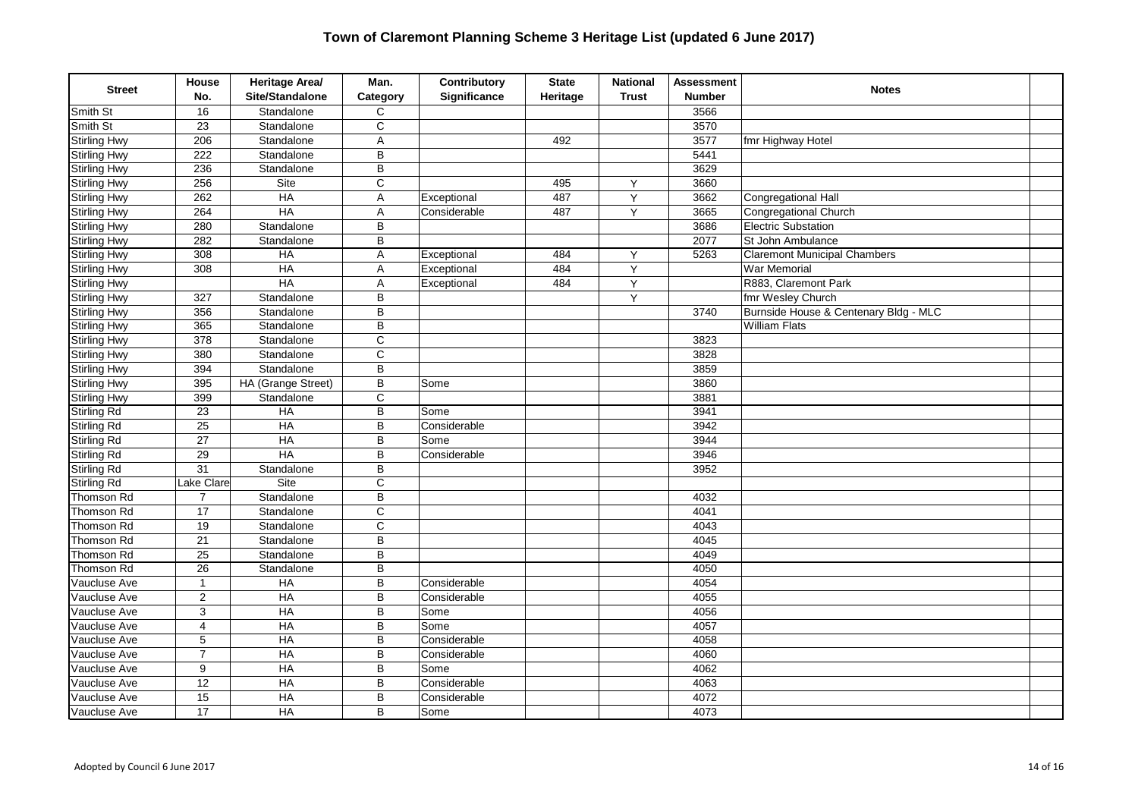| <b>Street</b>       | House<br>No.     | Heritage Area/<br>Site/Standalone | Man.<br>Category      | Contributory<br>Significance | <b>State</b><br>Heritage | <b>National</b><br><b>Trust</b> | <b>Assessment</b><br><b>Number</b> | <b>Notes</b>                          |  |
|---------------------|------------------|-----------------------------------|-----------------------|------------------------------|--------------------------|---------------------------------|------------------------------------|---------------------------------------|--|
| Smith St            | 16               | Standalone                        | $\mathsf{C}$          |                              |                          |                                 | 3566                               |                                       |  |
| Smith St            | 23               | Standalone                        | C                     |                              |                          |                                 | 3570                               |                                       |  |
| <b>Stirling Hwy</b> | 206              | Standalone                        | Α                     |                              | 492                      |                                 | 3577                               | fmr Highway Hotel                     |  |
| <b>Stirling Hwy</b> | 222              | Standalone                        | B                     |                              |                          |                                 | 5441                               |                                       |  |
| <b>Stirling Hwy</b> | 236              | Standalone                        | $\overline{B}$        |                              |                          |                                 | 3629                               |                                       |  |
| <b>Stirling Hwy</b> | 256              | Site                              | $\overline{\text{c}}$ |                              | 495                      | Y                               | 3660                               |                                       |  |
| <b>Stirling Hwy</b> | 262              | $H$ A                             | A                     | Exceptional                  | 487                      | Y                               | 3662                               | Congregational Hall                   |  |
| <b>Stirling Hwy</b> | 264              | $H$ A                             | Α                     | Considerable                 | 487                      | Y                               | 3665                               | Congregational Church                 |  |
| <b>Stirling Hwy</b> | 280              | Standalone                        | B                     |                              |                          |                                 | 3686                               | <b>Electric Substation</b>            |  |
| Stirling Hwy        | 282              | Standalone                        | B                     |                              |                          |                                 | 2077                               | St John Ambulance                     |  |
| <b>Stirling Hwy</b> | 308              | $H$ A                             | A                     | Exceptional                  | 484                      | Y                               | 5263                               | <b>Claremont Municipal Chambers</b>   |  |
| <b>Stirling Hwy</b> | 308              | <b>HA</b>                         | Α                     | Exceptional                  | 484                      | Y                               |                                    | <b>War Memorial</b>                   |  |
| <b>Stirling Hwy</b> |                  | <b>HA</b>                         | A                     | Exceptional                  | 484                      | Υ                               |                                    | R883, Claremont Park                  |  |
| <b>Stirling Hwy</b> | 327              | Standalone                        | B                     |                              |                          | Y                               |                                    | fmr Wesley Church                     |  |
| <b>Stirling Hwy</b> | 356              | Standalone                        | B                     |                              |                          |                                 | 3740                               | Burnside House & Centenary Bldg - MLC |  |
| <b>Stirling Hwy</b> | 365              | Standalone                        | $\overline{B}$        |                              |                          |                                 |                                    | <b>William Flats</b>                  |  |
| <b>Stirling Hwy</b> | $\overline{378}$ | Standalone                        | $\overline{c}$        |                              |                          |                                 | 3823                               |                                       |  |
| <b>Stirling Hwy</b> | 380              | Standalone                        | $\mathsf{C}$          |                              |                          |                                 | 3828                               |                                       |  |
| <b>Stirling Hwy</b> | 394              | Standalone                        | B                     |                              |                          |                                 | 3859                               |                                       |  |
| <b>Stirling Hwy</b> | 395              | HA (Grange Street)                | B                     | Some                         |                          |                                 | 3860                               |                                       |  |
| <b>Stirling Hwy</b> | 399              | Standalone                        | C                     |                              |                          |                                 | 3881                               |                                       |  |
| <b>Stirling Rd</b>  | $\overline{23}$  | HA                                | $\overline{B}$        | Some                         |                          |                                 | 3941                               |                                       |  |
| <b>Stirling Rd</b>  | $\overline{25}$  | HA                                | B                     | Considerable                 |                          |                                 | 3942                               |                                       |  |
| <b>Stirling Rd</b>  | $\overline{27}$  | HA                                | B                     | Some                         |                          |                                 | 3944                               |                                       |  |
| <b>Stirling Rd</b>  | $\overline{29}$  | $H$ A                             | B                     | Considerable                 |                          |                                 | 3946                               |                                       |  |
| Stirling Rd         | $\overline{31}$  | Standalone                        | B                     |                              |                          |                                 | 3952                               |                                       |  |
| <b>Stirling Rd</b>  | Lake Clare       | Site                              | $\overline{\text{c}}$ |                              |                          |                                 |                                    |                                       |  |
| Thomson Rd          | $\overline{7}$   | Standalone                        | $\overline{B}$        |                              |                          |                                 | 4032                               |                                       |  |
| <b>Thomson Rd</b>   | $\overline{17}$  | Standalone                        | $\overline{\text{c}}$ |                              |                          |                                 | 4041                               |                                       |  |
| Thomson Rd          | 19               | Standalone                        | $\mathsf C$           |                              |                          |                                 | 4043                               |                                       |  |
| Thomson Rd          | 21               | Standalone                        | B                     |                              |                          |                                 | 4045                               |                                       |  |
| Thomson Rd          | $\overline{25}$  | Standalone                        | B                     |                              |                          |                                 | 4049                               |                                       |  |
| Thomson Rd          | $\overline{26}$  | Standalone                        | $\overline{B}$        |                              |                          |                                 | 4050                               |                                       |  |
| Vaucluse Ave        | $\overline{1}$   | H A                               | $\overline{B}$        | Considerable                 |                          |                                 | 4054                               |                                       |  |
| Vaucluse Ave        | $\overline{2}$   | $H$ A                             | B                     | Considerable                 |                          |                                 | 4055                               |                                       |  |
| Vaucluse Ave        | 3                | $H$ A                             | B                     | Some                         |                          |                                 | 4056                               |                                       |  |
| Vaucluse Ave        | 4                | $H$ A                             | B                     | Some                         |                          |                                 | 4057                               |                                       |  |
| Vaucluse Ave        | 5                | HA                                | B                     | Considerable                 |                          |                                 | 4058                               |                                       |  |
| Vaucluse Ave        | $\overline{7}$   | HA                                | B                     | Considerable                 |                          |                                 | 4060                               |                                       |  |
| Vaucluse Ave        | 9                | HA                                | B                     | Some                         |                          |                                 | 4062                               |                                       |  |
| Vaucluse Ave        | 12               | $H$ A                             | B                     | Considerable                 |                          |                                 | 4063                               |                                       |  |
| Vaucluse Ave        | 15               | HA                                | B                     | Considerable                 |                          |                                 | 4072                               |                                       |  |
| Vaucluse Ave        | 17               | $H$ A                             | B                     | Some                         |                          |                                 | 4073                               |                                       |  |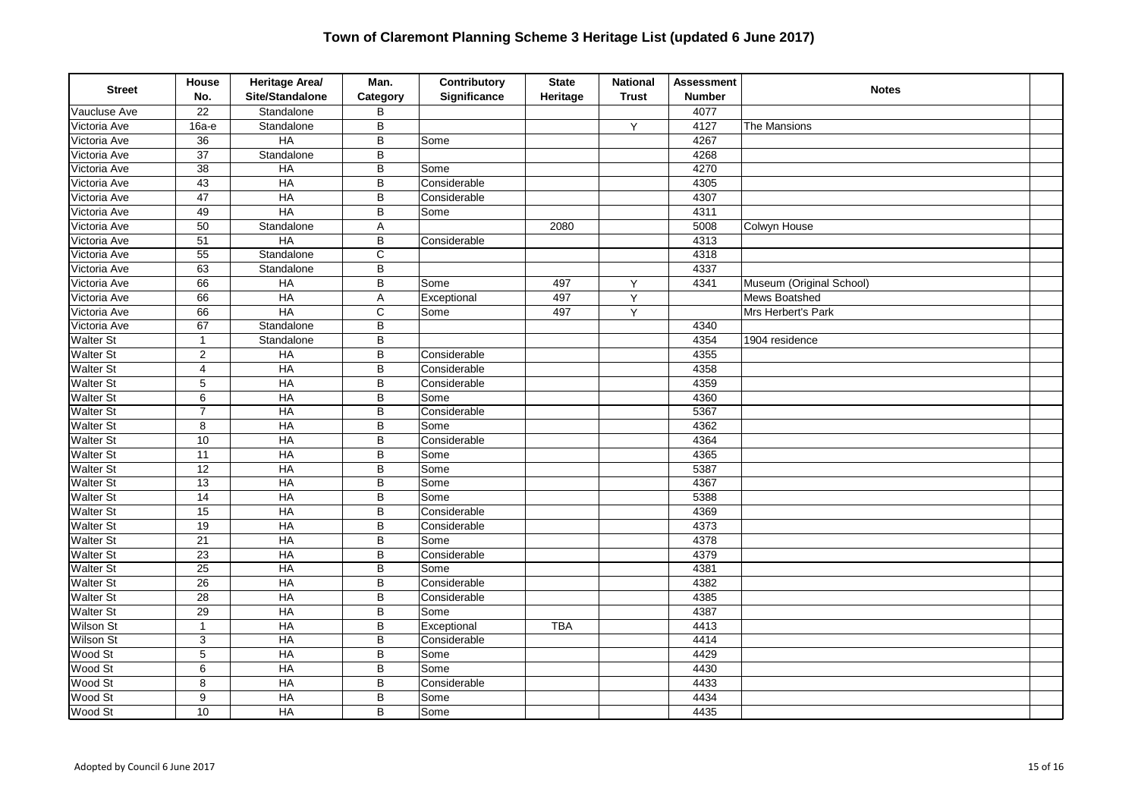| <b>Street</b>    | House<br>No.            | Heritage Area/<br>Site/Standalone | Man.<br>Category | Contributory<br>Significance | <b>State</b><br>Heritage | <b>National</b><br><b>Trust</b> | <b>Assessment</b><br><b>Number</b> | <b>Notes</b>             |  |
|------------------|-------------------------|-----------------------------------|------------------|------------------------------|--------------------------|---------------------------------|------------------------------------|--------------------------|--|
| Vaucluse Ave     | 22                      | Standalone                        | B                |                              |                          |                                 | 4077                               |                          |  |
| Victoria Ave     | $16a-e$                 | Standalone                        | $\sf B$          |                              |                          | Y                               | 4127                               | The Mansions             |  |
| Victoria Ave     | $\overline{36}$         | HA                                | $\overline{B}$   | Some                         |                          |                                 | 4267                               |                          |  |
| Victoria Ave     | $\overline{37}$         | Standalone                        | $\overline{B}$   |                              |                          |                                 | 4268                               |                          |  |
| Victoria Ave     | 38                      | HA                                | $\sf B$          | Some                         |                          |                                 | 4270                               |                          |  |
| Victoria Ave     | $\overline{43}$         | $H$ A                             | $\sf B$          | Considerable                 |                          |                                 | 4305                               |                          |  |
| Victoria Ave     | 47                      | <b>HA</b>                         | B                | Considerable                 |                          |                                 | 4307                               |                          |  |
| Victoria Ave     | 49                      | HA                                | $\sf B$          | Some                         |                          |                                 | 4311                               |                          |  |
| Victoria Ave     | 50                      | Standalone                        | $\overline{A}$   |                              | 2080                     |                                 | 5008                               | Colwyn House             |  |
| Victoria Ave     | 51                      | HA                                | $\sf B$          | Considerable                 |                          |                                 | 4313                               |                          |  |
| Victoria Ave     | $\overline{55}$         | Standalone                        | C                |                              |                          |                                 | 4318                               |                          |  |
| Victoria Ave     | 63                      | Standalone                        | $\overline{B}$   |                              |                          |                                 | 4337                               |                          |  |
| Victoria Ave     | 66                      | HA                                | $\sf B$          | Some                         | 497                      | Υ                               | 4341                               | Museum (Original School) |  |
| Victoria Ave     | 66                      | $H$ A                             | A                | Exceptional                  | 497                      | Y                               |                                    | Mews Boatshed            |  |
| Victoria Ave     | 66                      | HA                                | $\mathsf{C}$     | Some                         | 497                      | Y                               |                                    | Mrs Herbert's Park       |  |
| Victoria Ave     | 67                      | Standalone                        | B                |                              |                          |                                 | 4340                               |                          |  |
| <b>Walter St</b> | $\mathbf{1}$            | Standalone                        | $\overline{B}$   |                              |                          |                                 | 4354                               | $\sqrt{190}4$ residence  |  |
| <b>Walter St</b> | $\overline{c}$          | $H$ A                             | B                | Considerable                 |                          |                                 | 4355                               |                          |  |
| <b>Walter St</b> | $\overline{\mathbf{4}}$ | HA                                | $\sf B$          | Considerable                 |                          |                                 | 4358                               |                          |  |
| <b>Walter St</b> | 5                       | $H$ A                             | $\sf B$          | Considerable                 |                          |                                 | 4359                               |                          |  |
| <b>Walter St</b> | 6                       | <b>HA</b>                         | B                | Some                         |                          |                                 | 4360                               |                          |  |
| <b>Walter St</b> | $\overline{7}$          | HA                                | $\overline{B}$   | Considerable                 |                          |                                 | 5367                               |                          |  |
| Walter St        | 8                       | HA                                | $\sf B$          | Some                         |                          |                                 | 4362                               |                          |  |
| <b>Walter St</b> | 10                      | $H$ A                             | B                | Considerable                 |                          |                                 | 4364                               |                          |  |
| <b>Walter St</b> | 11                      | HA                                | B                | Some                         |                          |                                 | 4365                               |                          |  |
| <b>Walter St</b> | $\overline{12}$         | HA                                | B                | Some                         |                          |                                 | 5387                               |                          |  |
| <b>Walter St</b> | $\overline{13}$         | HA                                | $\overline{B}$   | Some                         |                          |                                 | 4367                               |                          |  |
| <b>Walter St</b> | $\overline{14}$         | HA                                | B                | Some                         |                          |                                 | 5388                               |                          |  |
| Walter St        | $\overline{15}$         | $H$ A                             | B                | Considerable                 |                          |                                 | 4369                               |                          |  |
| <b>Walter St</b> | 19                      | $H$ A                             | B                | Considerable                 |                          |                                 | 4373                               |                          |  |
| <b>Walter St</b> | $\overline{21}$         | HA                                | $\sf B$          | Some                         |                          |                                 | 4378                               |                          |  |
| <b>Walter St</b> | $\overline{23}$         | HA                                | B                | Considerable                 |                          |                                 | 4379                               |                          |  |
| <b>Walter St</b> | $\overline{25}$         | HA                                | B                | Some                         |                          |                                 | 4381                               |                          |  |
| <b>Walter St</b> | $\overline{26}$         | HA                                | B                | Considerable                 |                          |                                 | 4382                               |                          |  |
| <b>Walter St</b> | $\overline{28}$         | HA                                | B                | Considerable                 |                          |                                 | 4385                               |                          |  |
| <b>Walter St</b> | 29                      | HA                                | $\sf B$          | Some                         |                          |                                 | 4387                               |                          |  |
| <b>Wilson St</b> | $\mathbf{1}$            | $H$ A                             | B                | Exceptional                  | <b>TBA</b>               |                                 | 4413                               |                          |  |
| <b>Wilson St</b> | 3                       | HA                                | B                | Considerable                 |                          |                                 | 4414                               |                          |  |
| Wood St          | $\overline{5}$          | HA                                | B                | Some                         |                          |                                 | 4429                               |                          |  |
| Wood St          | $\overline{6}$          | HA                                | $\sf B$          | Some                         |                          |                                 | 4430                               |                          |  |
| Wood St          | 8                       | $H$ A                             | B                | Considerable                 |                          |                                 | 4433                               |                          |  |
| Wood St          | 9                       | $H$ A                             | B                | Some                         |                          |                                 | 4434                               |                          |  |
| Wood St          | 10                      | $H$ A                             | B                | Some                         |                          |                                 | 4435                               |                          |  |